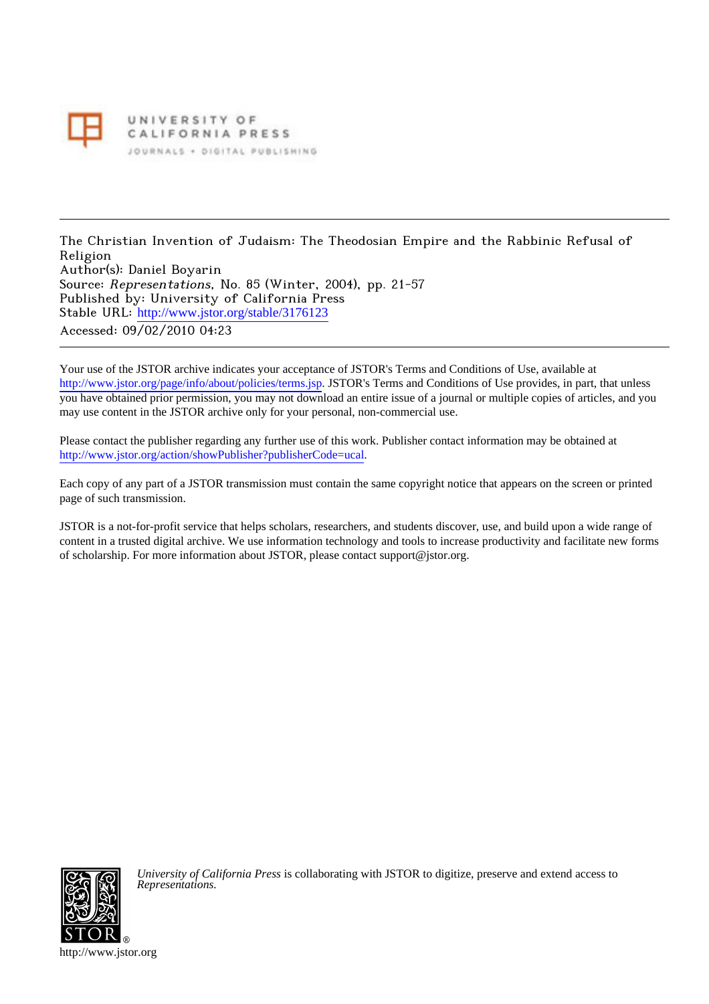

The Christian Invention of Judaism: The Theodosian Empire and the Rabbinic Refusal of Religion Author(s): Daniel Boyarin Source: Representations, No. 85 (Winter, 2004), pp. 21-57 Published by: University of California Press Stable URL: [http://www.jstor.org/stable/3176123](http://www.jstor.org/stable/3176123?origin=JSTOR-pdf) Accessed: 09/02/2010 04:23

Your use of the JSTOR archive indicates your acceptance of JSTOR's Terms and Conditions of Use, available at <http://www.jstor.org/page/info/about/policies/terms.jsp>. JSTOR's Terms and Conditions of Use provides, in part, that unless you have obtained prior permission, you may not download an entire issue of a journal or multiple copies of articles, and you may use content in the JSTOR archive only for your personal, non-commercial use.

Please contact the publisher regarding any further use of this work. Publisher contact information may be obtained at [http://www.jstor.org/action/showPublisher?publisherCode=ucal.](http://www.jstor.org/action/showPublisher?publisherCode=ucal)

Each copy of any part of a JSTOR transmission must contain the same copyright notice that appears on the screen or printed page of such transmission.

JSTOR is a not-for-profit service that helps scholars, researchers, and students discover, use, and build upon a wide range of content in a trusted digital archive. We use information technology and tools to increase productivity and facilitate new forms of scholarship. For more information about JSTOR, please contact support@jstor.org.



*University of California Press* is collaborating with JSTOR to digitize, preserve and extend access to *Representations.*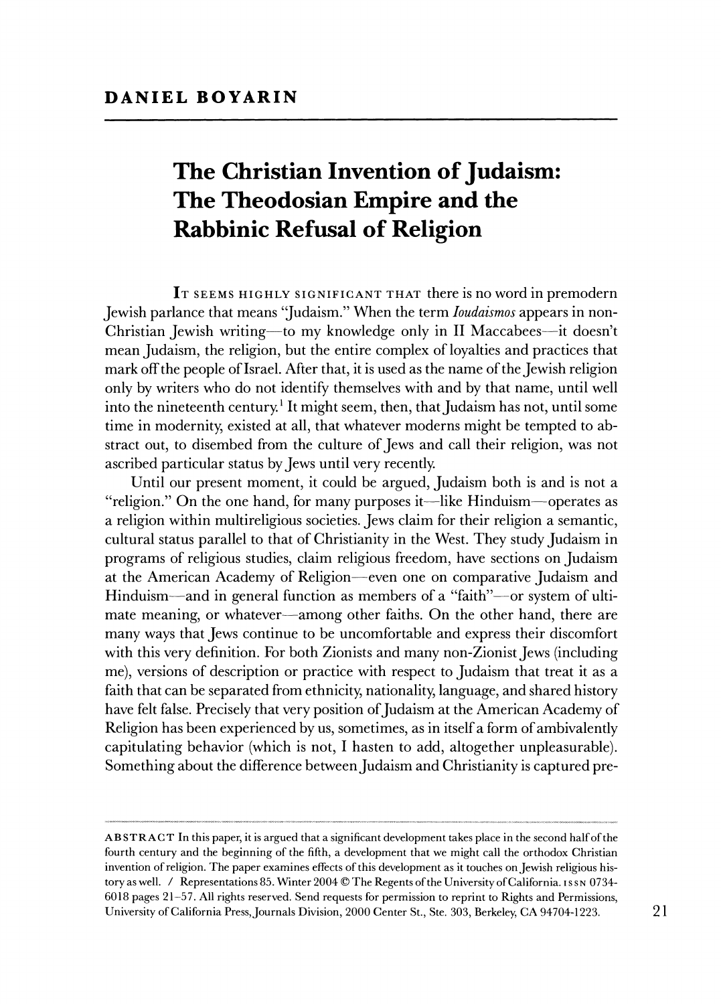# **The Christian Invention of Judaism: The Theodosian Empire and the Rabbinic Refusal of Religion**

**IT SEEMS HIGHLY SIGNIFICANT THAT there is no word in premodern Jewish parlance that means "Judaism." When the term Ioudaismos appears in non-**Christian Jewish writing-to my knowledge only in II Maccabees-it doesn't **mean Judaism, the religion, but the entire complex of loyalties and practices that mark off the people of Israel. After that, it is used as the name of the Jewish religion only by writers who do not identify themselves with and by that name, until well into the nineteenth century.' It might seem, then, that Judaism has not, until some time in modernity, existed at all, that whatever moderns might be tempted to abstract out, to disembed from the culture of Jews and call their religion, was not ascribed particular status by Jews until very recently.** 

**Until our present moment, it could be argued, Judaism both is and is not a**  "religion." On the one hand, for many purposes it—like Hinduism—operates as **a religion within multireligious societies. Jews claim for their religion a semantic, cultural status parallel to that of Christianity in the West. They study Judaism in programs of religious studies, claim religious freedom, have sections on Judaism at the American Academy of Religion-even one on comparative Judaism and**  Hinduism—and in general function as members of a "faith"—or system of ultimate meaning, or whatever-among other faiths. On the other hand, there are **many ways that Jews continue to be uncomfortable and express their discomfort with this very definition. For both Zionists and many non-Zionist Jews (including me), versions of description or practice with respect to Judaism that treat it as a faith that can be separated from ethnicity, nationality, language, and shared history**  have felt false. Precisely that very position of Judaism at the American Academy of **Religion has been experienced by us, sometimes, as in itself a form of ambivalently capitulating behavior (which is not, I hasten to add, altogether unpleasurable). Something about the difference between Judaism and Christianity is captured pre-**

**AB S T RA C T In this paper, it is argued that a significant development takes place in the second half of the fourth century and the beginning of the fifth, a development that we might call the orthodox Christian invention of religion. The paper examines effects of this development as it touches on Jewish religious history as well. / Representations 85. Winter 2004 © The Regents of the University of California. ISSN 0734-6018 pages 21-57. All rights reserved. Send requests for permission to reprint to Rights and Permissions, University of California Press,Journals Division, 2000 Center St., Ste. 303, Berkeley, CA 94704-1223. 21**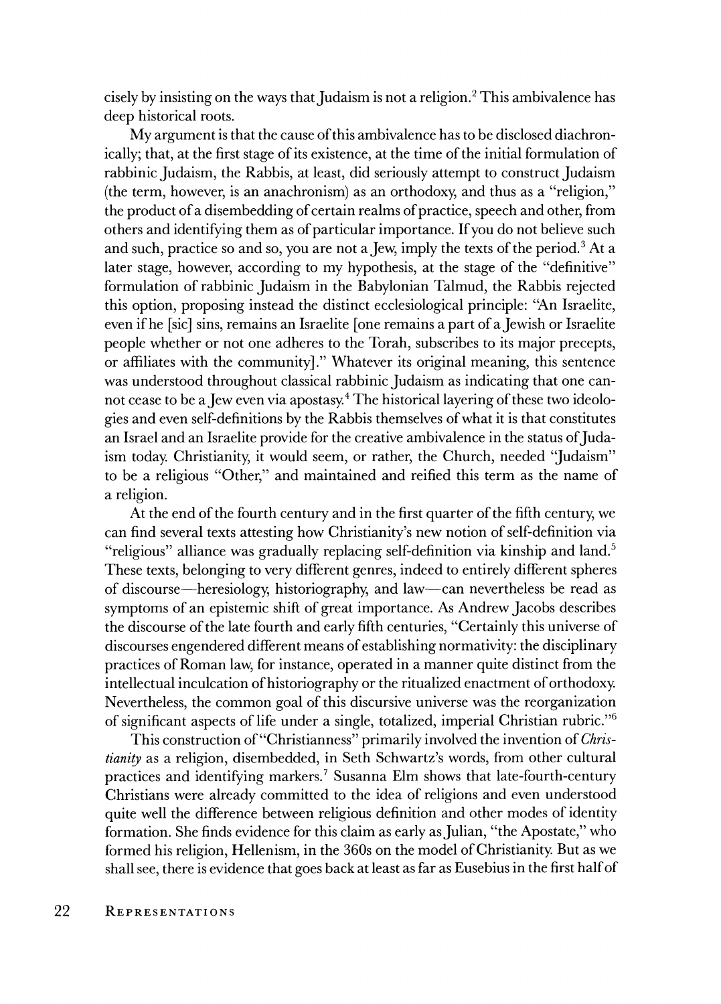**cisely by insisting on the ways that Judaism is not a religion.2 This ambivalence has deep historical roots.** 

**My argument is that the cause of this ambivalence has to be disclosed diachronically; that, at the first stage of its existence, at the time of the initial formulation of rabbinic Judaism, the Rabbis, at least, did seriously attempt to construct Judaism (the term, however, is an anachronism) as an orthodoxy, and thus as a "religion," the product of a disembedding of certain realms of practice, speech and other, from others and identifying them as of particular importance. If you do not believe such**  and such, practice so and so, you are not a Jew, imply the texts of the period.<sup>3</sup> At a **later stage, however, according to my hypothesis, at the stage of the "definitive" formulation of rabbinic Judaism in the Babylonian Talmud, the Rabbis rejected this option, proposing instead the distinct ecclesiological principle: "An Israelite, even if he [sic] sins, remains an Israelite [one remains a part of a Jewish or Israelite people whether or not one adheres to the Torah, subscribes to its major precepts, or affiliates with the community]." Whatever its original meaning, this sentence was understood throughout classical rabbinic Judaism as indicating that one cannot cease to be a Jew even via apostasy.4 The historical layering of these two ideologies and even self-definitions by the Rabbis themselves of what it is that constitutes an Israel and an Israelite provide for the creative ambivalence in the status ofJudaism today. Christianity, it would seem, or rather, the Church, needed "Judaism" to be a religious "Other," and maintained and reified this term as the name of a religion.** 

**At the end of the fourth century and in the first quarter of the fifth century, we can find several texts attesting how Christianity's new notion of self-definition via "religious" alliance was gradually replacing self-definition via kinship and land.5 These texts, belonging to very different genres, indeed to entirely different spheres of discourse-heresiology, historiography, and law-can nevertheless be read as symptoms of an epistemic shift of great importance. As Andrew Jacobs describes the discourse of the late fourth and early fifth centuries, "Certainly this universe of discourses engendered different means of establishing normativity: the disciplinary practices of Roman law, for instance, operated in a manner quite distinct from the intellectual inculcation of historiography or the ritualized enactment of orthodoxy. Nevertheless, the common goal of this discursive universe was the reorganization of significant aspects of life under a single, totalized, imperial Christian rubric."6** 

**This construction of"Christianness" primarily involved the invention of Christianity as a religion, disembedded, in Seth Schwartz's words, from other cultural practices and identifying markers.7 Susanna Elm shows that late-fourth-century Christians were already committed to the idea of religions and even understood quite well the difference between religious definition and other modes of identity formation. She finds evidence for this claim as early as Julian, "the Apostate," who formed his religion, Hellenism, in the 360s on the model of Christianity. But as we shall see, there is evidence that goes back at least as far as Eusebius in the first half of**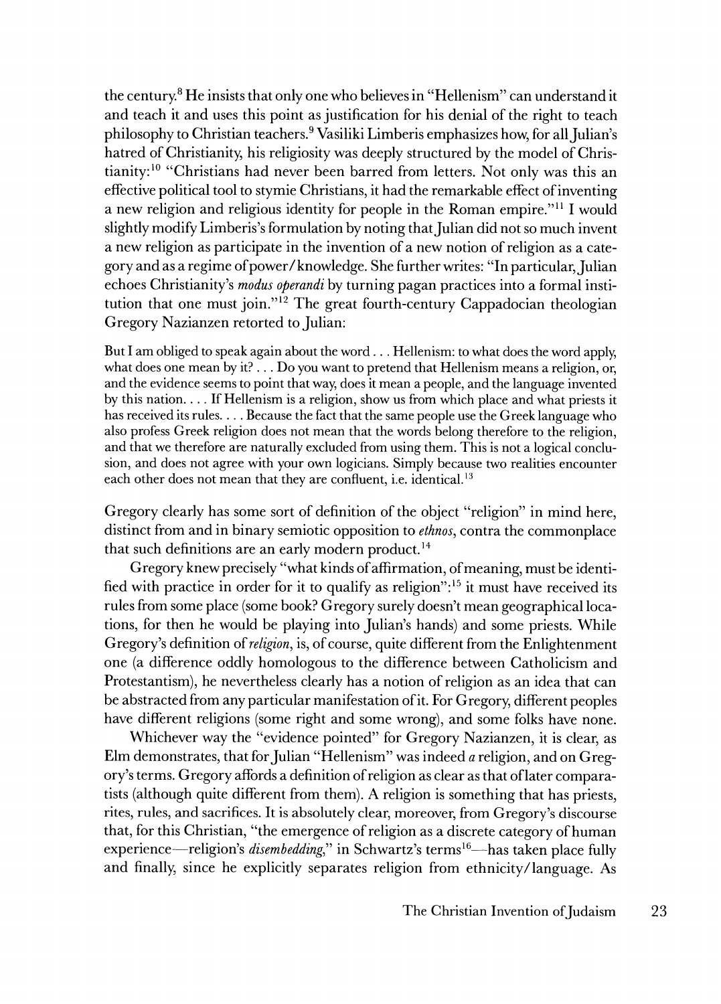**the century.8 He insists that only one who believes in "Hellenism" can understand it and teach it and uses this point as justification for his denial of the right to teach**  philosophy to Christian teachers.<sup>9</sup> Vasiliki Limberis emphasizes how, for all Julian's **hatred of Christianity, his religiosity was deeply structured by the model of Christianity:'0 "Christians had never been barred from letters. Not only was this an effective political tool to stymie Christians, it had the remarkable effect of inventing a new religion and religious identity for people in the Roman empire."" I would**  slightly modify Limberis's formulation by noting that Julian did not so much invent **a new religion as participate in the invention of a new notion of religion as a category and as a regime of power/knowledge. She further writes: "In particular, Julian echoes Christianity's modus operandi by turning pagan practices into a formal institution that one must join.""2 The great fourth-century Cappadocian theologian Gregory Nazianzen retorted to Julian:** 

**But I am obliged to speak again about the word ... Hellenism: to what does the word apply, what does one mean by it? ... Do you want to pretend that Hellenism means a religion, or, and the evidence seems to point that way, does it mean a people, and the language invented by this nation.... If Hellenism is a religion, show us from which place and what priests it has received its rules. ... Because the fact that the same people use the Greek language who also profess Greek religion does not mean that the words belong therefore to the religion, and that we therefore are naturally excluded from using them. This is not a logical conclusion, and does not agree with your own logicians. Simply because two realities encounter each other does not mean that they are confluent, i.e. identical.'3** 

**Gregory clearly has some sort of definition of the object "religion" in mind here, distinct from and in binary semiotic opposition to ethnos, contra the commonplace that such definitions are an early modern product.'4** 

**Gregory knew precisely "what kinds of affirmation, of meaning, must be identi**fied with practice in order for it to qualify as religion":<sup>15</sup> it must have received its **rules from some place (some book? Gregory surely doesn't mean geographical locations, for then he would be playing into Julian's hands) and some priests. While Gregory's definition of religion, is, of course, quite different from the Enlightenment one (a difference oddly homologous to the difference between Catholicism and Protestantism), he nevertheless clearly has a notion of religion as an idea that can be abstracted from any particular manifestation of it. For Gregory, different peoples have different religions (some right and some wrong), and some folks have none.** 

**Whichever way the "evidence pointed" for Gregory Nazianzen, it is clear, as**  Elm demonstrates, that for Julian "Hellenism" was indeed *a* religion, and on Greg**ory's terms. Gregory affords a definition of religion as clear as that of later comparatists (although quite different from them). A religion is something that has priests, rites, rules, and sacrifices. It is absolutely clear, moreover, from Gregory's discourse that, for this Christian, "the emergence of religion as a discrete category of human**  experience-religion's *disembedding*," in Schwartz's terms<sup>16</sup>-has taken place fully **and finally, since he explicitly separates religion from ethnicity/language. As**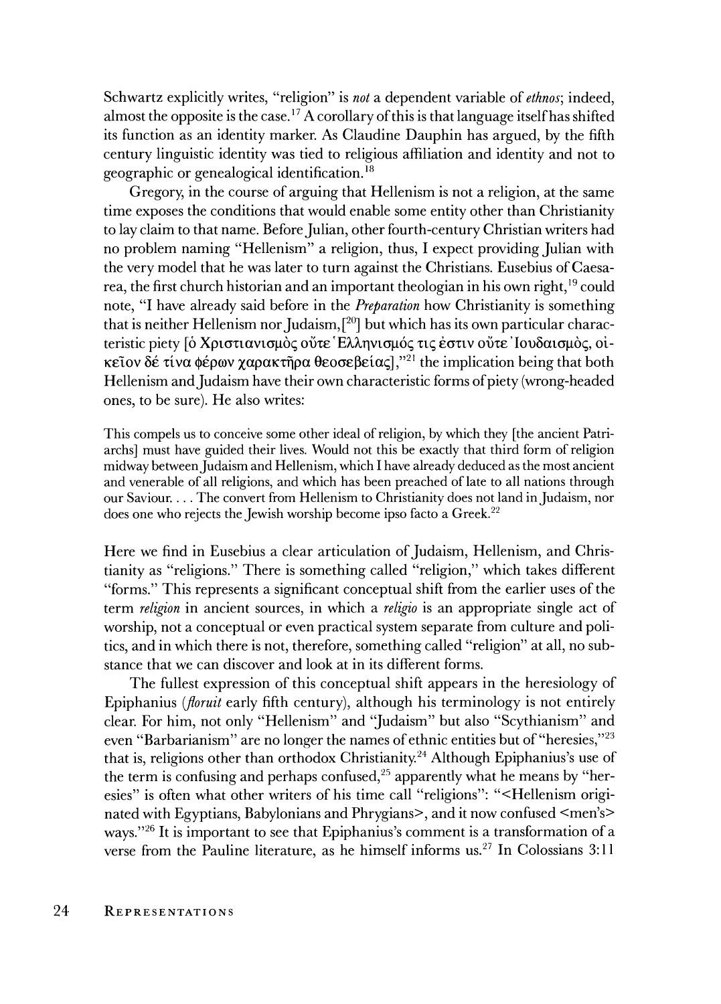**Schwartz explicitly writes, "religion" is not a dependent variable of ethnos; indeed, almost the opposite is the case.17 A corollary of this is that language itself has shifted its function as an identity marker. As Claudine Dauphin has argued, by the fifth century linguistic identity was tied to religious affiliation and identity and not to geographic or genealogical identification.18** 

**Gregory, in the course of arguing that Hellenism is not a religion, at the same time exposes the conditions that would enable some entity other than Christianity to lay claim to that name. Before Julian, other fourth-century Christian writers had no problem naming "Hellenism" a religion, thus, I expect providing Julian with the very model that he was later to turn against the Christians. Eusebius of Caesa**rea, the first church historian and an important theologian in his own right, <sup>19</sup> could **note, "I have already said before in the Preparation how Christianity is something that is neither Hellenism nor Judaism, [20] but which has its own particular charac** $t$ eristic piety [ο Χριστιανισμος ούτε Έλληνισμός τις έστιν ούτε Ιουδαισμος, οι -**KEΙΟV δε τίνα φέρων χαραΚτῆρα θεοσεβείας**,"<sup>21</sup> the implication being that both Hellenism and Judaism have their own characteristic forms of piety (wrong-headed **ones, to be sure). He also writes:** 

**This compels us to conceive some other ideal of religion, by which they [the ancient Patriarchs] must have guided their lives. Would not this be exactly that third form of religion midway between Judaism and Hellenism, which I have already deduced as the most ancient and venerable of all religions, and which has been preached of late to all nations through our Saviour.... The convert from Hellenism to Christianity does not land in Judaism, nor does one who rejects the Jewish worship become ipso facto a Greek.22** 

**Here we find in Eusebius a clear articulation of Judaism, Hellenism, and Christianity as "religions." There is something called "religion," which takes different "forms." This represents a significant conceptual shift from the earlier uses of the term religion in ancient sources, in which a religio is an appropriate single act of worship, not a conceptual or even practical system separate from culture and politics, and in which there is not, therefore, something called "religion" at all, no substance that we can discover and look at in its different forms.** 

**The fullest expression of this conceptual shift appears in the heresiology of**  Epiphanius (*floruit* early fifth century), although his terminology is not entirely **clear. For him, not only "Hellenism" and "Judaism" but also "Scythianism" and even "Barbarianism" are no longer the names of ethnic entities but of "heresies,"23 that is, religions other than orthodox Christianity.24 Although Epiphanius's use of**  the term is confusing and perhaps confused,<sup>25</sup> apparently what he means by "her**esies" is often what other writers of his time call "religions": "<Hellenism originated with Egyptians, Babylonians and Phrygians>, and it now confused <men's> ways."26 It is important to see that Epiphanius's comment is a transformation of a**  verse from the Pauline literature, as he himself informs us.<sup>27</sup> In Colossians 3:11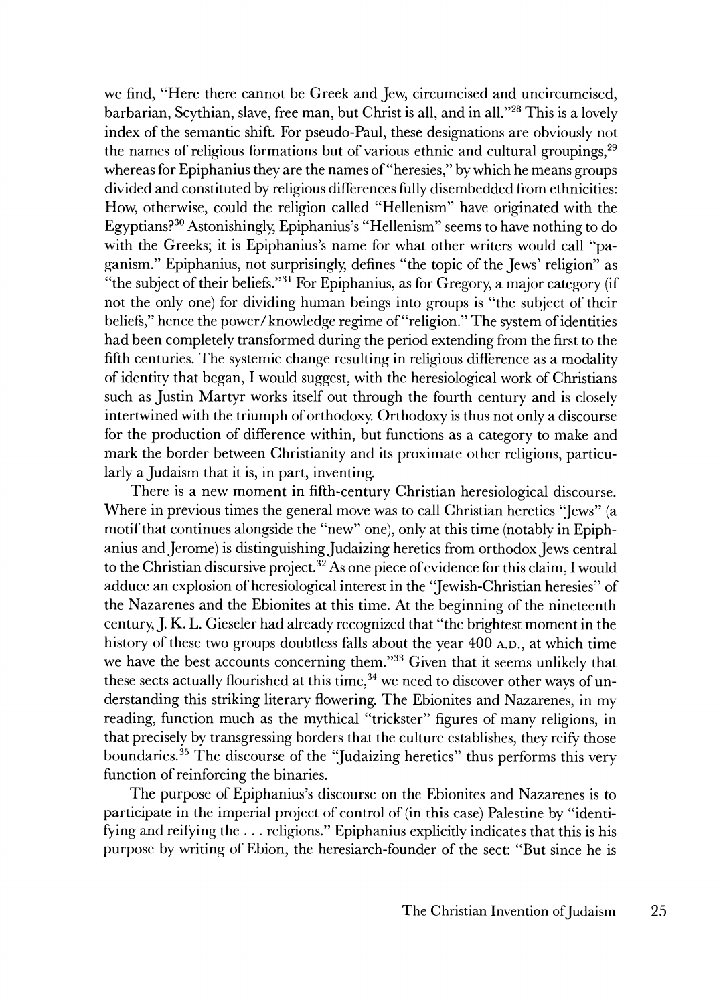**we find, "Here there cannot be Greek and Jew, circumcised and uncircumcised, barbarian, Scythian, slave, free man, but Christ is all, and in all."28 This is a lovely index of the semantic shift. For pseudo-Paul, these designations are obviously not the names of religious formations but of various ethnic and cultural groupings,29 whereas for Epiphanius they are the names of"heresies," by which he means groups divided and constituted by religious differences fully disembedded from ethnicities: How, otherwise, could the religion called "Hellenism" have originated with the Egyptians?30 Astonishingly, Epiphanius's "Hellenism" seems to have nothing to do**  with the Greeks; it is Epiphanius's name for what other writers would call "pa**ganism." Epiphanius, not surprisingly, defines "the topic of the Jews' religion" as "the subject of their beliefs."31 For Epiphanius, as for Gregory, a major category (if not the only one) for dividing human beings into groups is "the subject of their beliefs," hence the power/knowledge regime of "religion." The system of identities had been completely transformed during the period extending from the first to the fifth centuries. The systemic change resulting in religious difference as a modality of identity that began, I would suggest, with the heresiological work of Christians such as Justin Martyr works itself out through the fourth century and is closely intertwined with the triumph of orthodoxy. Orthodoxy is thus not only a discourse for the production of difference within, but functions as a category to make and mark the border between Christianity and its proximate other religions, particularly a Judaism that it is, in part, inventing.** 

**There is a new moment in fifth-century Christian heresiological discourse. Where in previous times the general move was to call Christian heretics 'Jews" (a motif that continues alongside the "new" one), only at this time (notably in Epiph**anius and Jerome) is distinguishing Judaizing heretics from orthodox Jews central **to the Christian discursive project.32 As one piece of evidence for this claim, I would adduce an explosion of heresiological interest in the 'Jewish-Christian heresies" of the Nazarenes and the Ebionites at this time. At the beginning of the nineteenth century, J. K. L. Gieseler had already recognized that "the brightest moment in the history of these two groups doubtless falls about the year 400 A.D., at which time we have the best accounts concerning them."33 Given that it seems unlikely that**  these sects actually flourished at this time,<sup>34</sup> we need to discover other ways of un**derstanding this striking literary flowering. The Ebionites and Nazarenes, in my reading, function much as the mythical "trickster" figures of many religions, in that precisely by transgressing borders that the culture establishes, they reify those boundaries.35 The discourse of the "Judaizing heretics" thus performs this very function of reinforcing the binaries.** 

**The purpose of Epiphanius's discourse on the Ebionites and Nazarenes is to participate in the imperial project of control of (in this case) Palestine by "identifying and reifying the . . . religions." Epiphanius explicitly indicates that this is his purpose by writing of Ebion, the heresiarch-founder of the sect: "But since he is**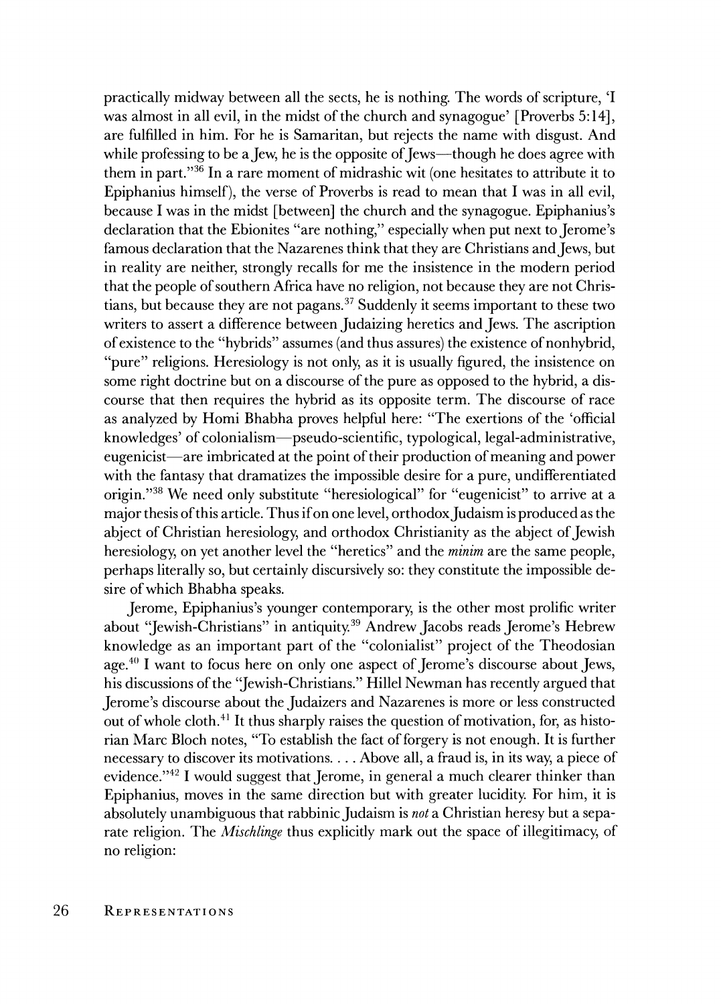**practically midway between all the sects, he is nothing. The words of scripture, 'I was almost in all evil, in the midst of the church and synagogue' [Proverbs 5:14], are fulfilled in him. For he is Samaritan, but rejects the name with disgust. And**  while professing to be a Jew, he is the opposite of Jews—though he does agree with **them in part."36 In a rare moment of midrashic wit (one hesitates to attribute it to Epiphanius himself), the verse of Proverbs is read to mean that I was in all evil, because I was in the midst [between] the church and the synagogue. Epiphanius's declaration that the Ebionites "are nothing," especially when put next to Jerome's famous declaration that the Nazarenes think that they are Christians and Jews, but in reality are neither, strongly recalls for me the insistence in the modern period that the people of southern Africa have no religion, not because they are not Christians, but because they are not pagans.37 Suddenly it seems important to these two writers to assert a difference between Judaizing heretics and Jews. The ascription of existence to the "hybrids" assumes (and thus assures) the existence ofnonhybrid, "pure" religions. Heresiology is not only, as it is usually figured, the insistence on some right doctrine but on a discourse of the pure as opposed to the hybrid, a discourse that then requires the hybrid as its opposite term. The discourse of race as analyzed by Homi Bhabha proves helpful here: "The exertions of the 'official knowledges' of colonialism-pseudo-scientific, typological, legal-administrative, eugenicist-are imbricated at the point of their production of meaning and power with the fantasy that dramatizes the impossible desire for a pure, undifferentiated origin."38 We need only substitute "heresiological" for "eugenicist" to arrive at a**  major thesis of this article. Thus if on one level, orthodox Judaism is produced as the **abject of Christian heresiology, and orthodox Christianity as the abject of Jewish heresiology, on yet another level the "heretics" and the minim are the same people, perhaps literally so, but certainly discursively so: they constitute the impossible desire of which Bhabha speaks.** 

**Jerome, Epiphanius's younger contemporary, is the other most prolific writer about 'Jewish-Christians" in antiquity.39 Andrew Jacobs reads Jerome's Hebrew knowledge as an important part of the "colonialist" project of the Theodosian age.4" I want to focus here on only one aspect of Jerome's discourse about Jews, his discussions of the 'Jewish-Christians." Hillel Newman has recently argued that Jerome's discourse about the Judaizers and Nazarenes is more or less constructed out of whole cloth.41 It thus sharply raises the question of motivation, for, as historian Marc Bloch notes, "To establish the fact of forgery is not enough. It is further necessary to discover its motivations..... Above all, a fraud is, in its way, a piece of evidence."42 I would suggest that Jerome, in general a much clearer thinker than Epiphanius, moves in the same direction but with greater lucidity. For him, it is absolutely unambiguous that rabbinic Judaism is not a Christian heresy but a separate religion. The Mischlinge thus explicitly mark out the space of illegitimacy, of no religion:**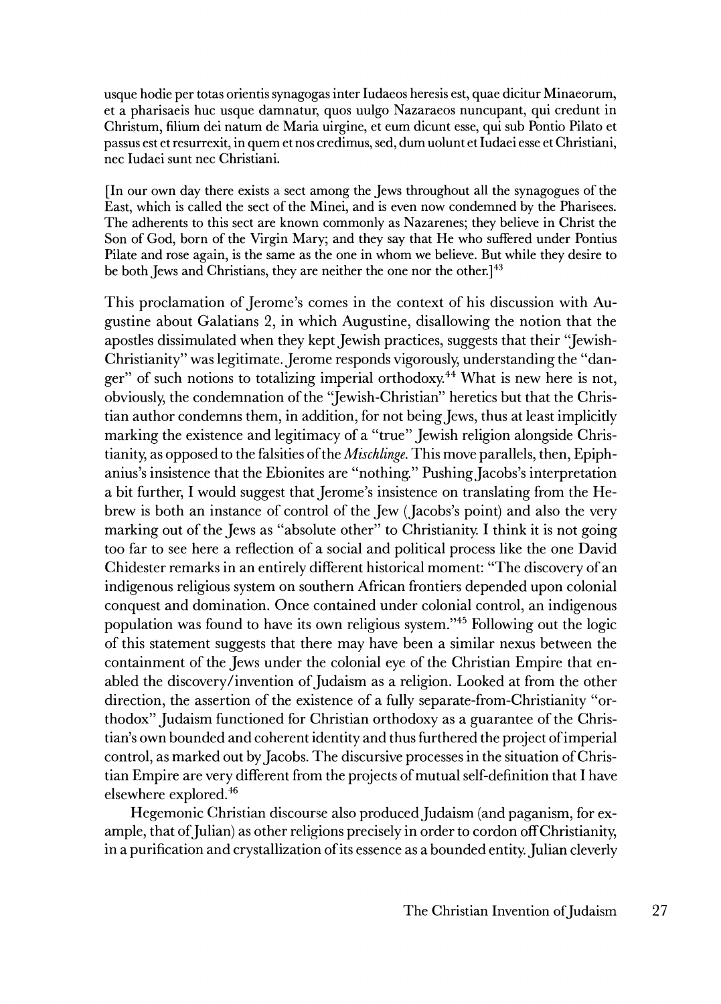**usque hodie per totas orientis synagogas inter Iudaeos heresis est, quae dicitur Minaeorum, et a pharisaeis huc usque damnatur, quos uulgo Nazaraeos nuncupant, qui credunt in Christum, filium dei natum de Maria uirgine, et eum dicunt esse, qui sub Pontio Pilato et passus est et resurrexit, in quem et nos credimus, sed, dum uolunt et Iudaei esse et Christiani, nec Iudaei sunt nec Christiani.** 

**[In our own day there exists a sect among the Jews throughout all the synagogues of the East, which is called the sect of the Minei, and is even now condemned by the Pharisees. The adherents to this sect are known commonly as Nazarenes; they believe in Christ the Son of God, born of the Virgin Mary; and they say that He who suffered under Pontius Pilate and rose again, is the same as the one in whom we believe. But while they desire to**  be both Jews and Christians, they are neither the one nor the other.<sup>143</sup>

**This proclamation of Jerome's comes in the context of his discussion with Augustine about Galatians 2, in which Augustine, disallowing the notion that the apostles dissimulated when they kept Jewish practices, suggests that their "Jewish-**Christianity" was legitimate. Jerome responds vigorously, understanding the "danger" of such notions to totalizing imperial orthodoxy.<sup>44</sup> What is new here is not, **obviously, the condemnation of the "Jewish-Christian" heretics but that the Chris**tian author condemns them, in addition, for not being Jews, thus at least implicitly **marking the existence and legitimacy of a "true" Jewish religion alongside Christianity, as opposed to the falsities of the Mischlinge. This move parallels, then, Epiph**anius's insistence that the Ebionites are "nothing." Pushing Jacobs's interpretation **a bit further, I would suggest that Jerome's insistence on translating from the Hebrew is both an instance of control of the Jew (Jacobs's point) and also the very marking out of the Jews as "absolute other" to Christianity. I think it is not going too far to see here a reflection of a social and political process like the one David Chidester remarks in an entirely different historical moment: "The discovery of an indigenous religious system on southern African frontiers depended upon colonial conquest and domination. Once contained under colonial control, an indigenous population was found to have its own religious system."45 Following out the logic of this statement suggests that there may have been a similar nexus between the containment of the Jews under the colonial eye of the Christian Empire that enabled the discovery/invention of Judaism as a religion. Looked at from the other direction, the assertion of the existence of a fully separate-from-Christianity "orthodox" Judaism functioned for Christian orthodoxy as a guarantee of the Christian's own bounded and coherent identity and thus furthered the project of imperial control, as marked out byJacobs. The discursive processes in the situation of Christian Empire are very different from the projects of mutual self-definition that I have elsewhere explored.46** 

**Hegemonic Christian discourse also produced Judaism (and paganism, for ex**ample, that of Julian) as other religions precisely in order to cordon off Christianity, **in a purification and crystallization of its essence as a bounded entity. Julian cleverly**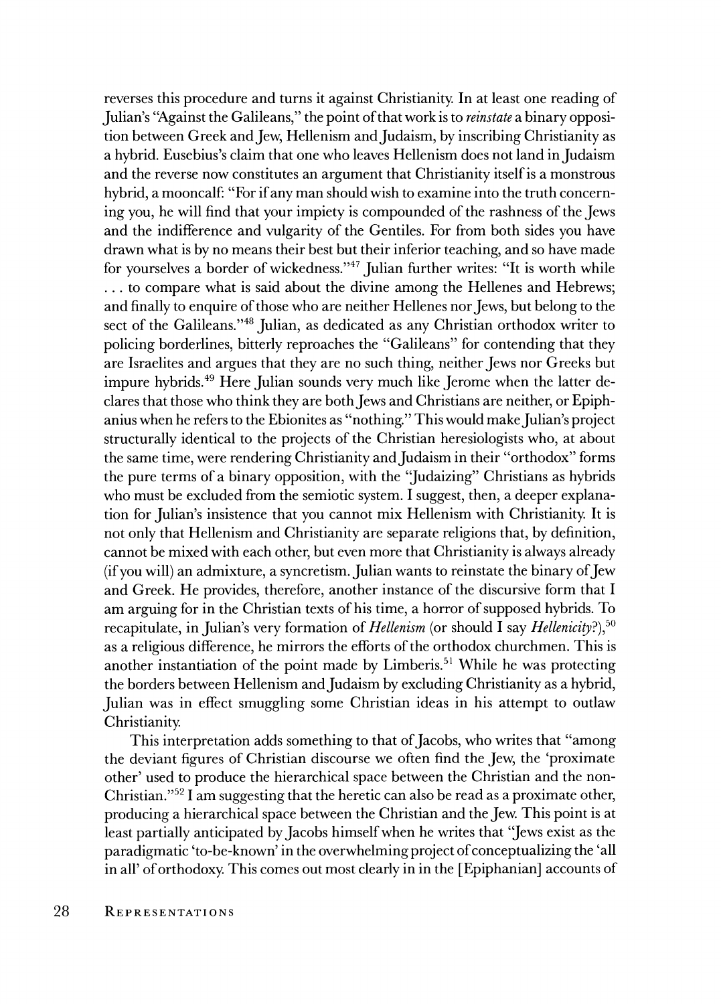**reverses this procedure and turns it against Christianity. In at least one reading of Julian's "Against the Galileans," the point of that work is to reinstate a binary opposi**tion between Greek and Jew, Hellenism and Judaism, by inscribing Christianity as **a hybrid. Eusebius's claim that one who leaves Hellenism does not land in Judaism and the reverse now constitutes an argument that Christianity itself is a monstrous hybrid, a mooncalf: "For if any man should wish to examine into the truth concerning you, he will find that your impiety is compounded of the rashness of the Jews and the indifference and vulgarity of the Gentiles. For from both sides you have drawn what is by no means their best but their inferior teaching, and so have made for yourselves a border of wickedness."47 Julian further writes: "It is worth while ... to compare what is said about the divine among the Hellenes and Hebrews; and finally to enquire of those who are neither Hellenes nor Jews, but belong to the sect of the Galileans."48 Julian, as dedicated as any Christian orthodox writer to policing borderlines, bitterly reproaches the "Galileans" for contending that they are Israelites and argues that they are no such thing, neither Jews nor Greeks but impure hybrids.49 Here Julian sounds very much like Jerome when the latter de**clares that those who think they are both Jews and Christians are neither, or Epiphanius when he refers to the Ebionites as "nothing." This would make Julian's project **structurally identical to the projects of the Christian heresiologists who, at about the same time, were rendering Christianity and Judaism in their "orthodox" forms the pure terms of a binary opposition, with the "Judaizing" Christians as hybrids who must be excluded from the semiotic system. I suggest, then, a deeper explanation for Julian's insistence that you cannot mix Hellenism with Christianity. It is not only that Hellenism and Christianity are separate religions that, by definition, cannot be mixed with each other, but even more that Christianity is always already (ifyou will) an admixture, a syncretism. Julian wants to reinstate the binary of Jew and Greek. He provides, therefore, another instance of the discursive form that I am arguing for in the Christian texts of his time, a horror of supposed hybrids. To**  recapitulate, in Julian's very formation of *Hellenism* (or should I say *Hellenicity*?),<sup>50</sup> **as a religious difference, he mirrors the efforts of the orthodox churchmen. This is another instantiation of the point made by Limberis.51 While he was protecting the borders between Hellenism and Judaism by excluding Christianity as a hybrid, Julian was in effect smuggling some Christian ideas in his attempt to outlaw Christianity.** 

This interpretation adds something to that of Jacobs, who writes that "among **the deviant figures of Christian discourse we often find the Jew, the 'proximate other' used to produce the hierarchical space between the Christian and the non-Christian."52 I am suggesting that the heretic can also be read as a proximate other, producing a hierarchical space between the Christian and the Jew. This point is at least partially anticipated by Jacobs himself when he writes that "Jews exist as the paradigmatic 'to-be-known' in the overwhelming project of conceptualizing the 'all in all' of orthodoxy. This comes out most clearly in in the [Epiphanian] accounts of**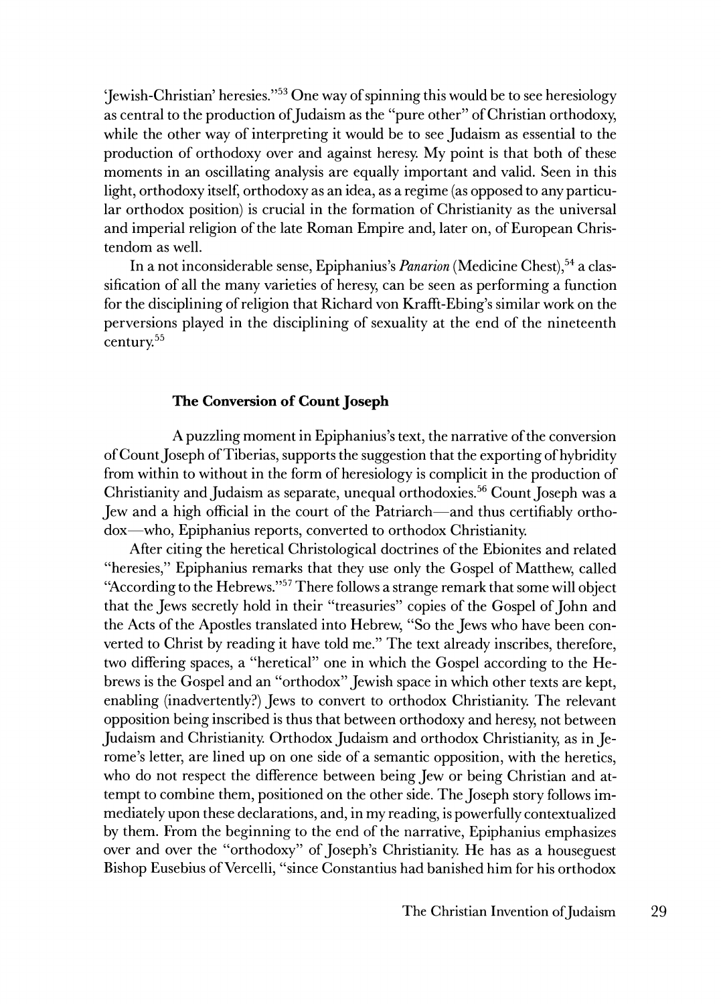**'Jewish-Christian' heresies."53 One way of spinning this would be to see heresiology**  as central to the production of Judaism as the "pure other" of Christian orthodoxy, **while the other way of interpreting it would be to see Judaism as essential to the production of orthodoxy over and against heresy. My point is that both of these moments in an oscillating analysis are equally important and valid. Seen in this light, orthodoxy itself, orthodoxy as an idea, as a regime (as opposed to any particular orthodox position) is crucial in the formation of Christianity as the universal and imperial religion of the late Roman Empire and, later on, of European Christendom as well.** 

In a not inconsiderable sense, Epiphanius's *Panarion* (Medicine Chest),<sup>54</sup> a clas**sification of all the many varieties of heresy, can be seen as performing a function for the disciplining of religion that Richard von Krafft-Ebing's similar work on the perversions played in the disciplining of sexuality at the end of the nineteenth century.55** 

#### **The Conversion of Count Joseph**

**A puzzling moment in Epiphanius's text, the narrative of the conversion**  of Count Joseph of Tiberias, supports the suggestion that the exporting of hybridity **from within to without in the form of heresiology is complicit in the production of Christianity and Judaism as separate, unequal orthodoxies.56 Count Joseph was a Jew and a high official in the court of the Patriarch-and thus certifiably orthodox-who, Epiphanius reports, converted to orthodox Christianity.** 

**After citing the heretical Christological doctrines of the Ebionites and related "heresies," Epiphanius remarks that they use only the Gospel of Matthew, called "According to the Hebrews."57 There follows a strange remark that some will object that the Jews secretly hold in their "treasuries" copies of the Gospel of John and the Acts of the Apostles translated into Hebrew, "So the Jews who have been converted to Christ by reading it have told me." The text already inscribes, therefore, two differing spaces, a "heretical" one in which the Gospel according to the Hebrews is the Gospel and an "orthodox" Jewish space in which other texts are kept, enabling (inadvertently?) Jews to convert to orthodox Christianity. The relevant opposition being inscribed is thus that between orthodoxy and heresy, not between Judaism and Christianity. Orthodox Judaism and orthodox Christianity, as in Jerome's letter, are lined up on one side of a semantic opposition, with the heretics, who do not respect the difference between being Jew or being Christian and attempt to combine them, positioned on the other side. The Joseph story follows immediately upon these declarations, and, in my reading, is powerfully contextualized by them. From the beginning to the end of the narrative, Epiphanius emphasizes over and over the "orthodoxy" of Joseph's Christianity. He has as a houseguest Bishop Eusebius of Vercelli, "since Constantius had banished him for his orthodox**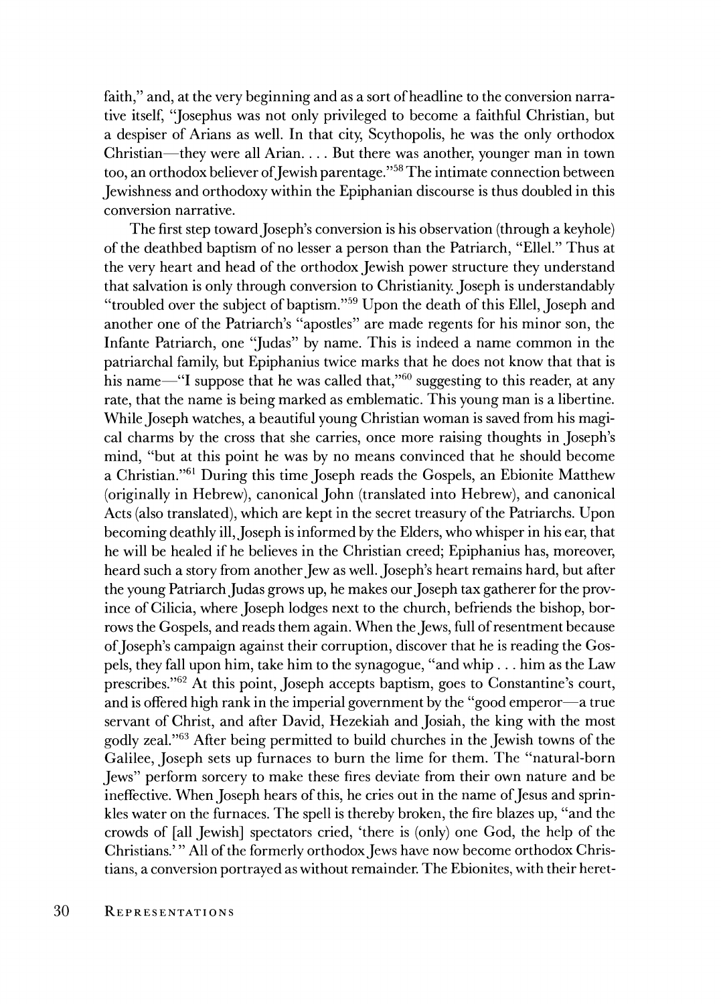**faith," and, at the very beginning and as a sort of headline to the conversion narrative itself, "Josephus was not only privileged to become a faithful Christian, but a despiser of Arians as well. In that city, Scythopolis, he was the only orthodox Christian-they were all Arian.... But there was another, younger man in town**  too, an orthodox believer of Jewish parentage."<sup>58</sup> The intimate connection between **Jewishness and orthodoxy within the Epiphanian discourse is thus doubled in this conversion narrative.** 

**The first step toward Joseph's conversion is his observation (through a keyhole) of the deathbed baptism of no lesser a person than the Patriarch, "Ellel." Thus at the very heart and head of the orthodox Jewish power structure they understand that salvation is only through conversion to Christianity. Joseph is understandably "troubled over the subject of baptism.""59 Upon the death of this Ellel, Joseph and another one of the Patriarch's "apostles" are made regents for his minor son, the Infante Patriarch, one 'Judas" by name. This is indeed a name common in the patriarchal family, but Epiphanius twice marks that he does not know that that is**  his name—"I suppose that he was called that,"<sup>60</sup> suggesting to this reader, at any **rate, that the name is being marked as emblematic. This young man is a libertine. While Joseph watches, a beautiful young Christian woman is saved from his magical charms by the cross that she carries, once more raising thoughts in Joseph's mind, "but at this point he was by no means convinced that he should become a Christian."6' During this time Joseph reads the Gospels, an Ebionite Matthew (originally in Hebrew), canonical John (translated into Hebrew), and canonical Acts (also translated), which are kept in the secret treasury of the Patriarchs. Upon becoming deathly ill, Joseph is informed by the Elders, who whisper in his ear, that he will be healed if he believes in the Christian creed; Epiphanius has, moreover, heard such a story from another Jew as well. Joseph's heart remains hard, but after the young Patriarch Judas grows up, he makes our Joseph tax gatherer for the province of Cilicia, where Joseph lodges next to the church, befriends the bishop, borrows the Gospels, and reads them again. When the Jews, full of resentment because**  of Joseph's campaign against their corruption, discover that he is reading the Gos**pels, they fall upon him, take him to the synagogue, "and whip ... him as the Law prescribes."62 At this point, Joseph accepts baptism, goes to Constantine's court,**  and is offered high rank in the imperial government by the "good emperor-a true **servant of Christ, and after David, Hezekiah and Josiah, the king with the most godly zeal."63 After being permitted to build churches in the Jewish towns of the Galilee, Joseph sets up furnaces to burn the lime for them. The "natural-born Jews" perform sorcery to make these fires deviate from their own nature and be ineffective. When Joseph hears of this, he cries out in the name of Jesus and sprinkles water on the furnaces. The spell is thereby broken, the fire blazes up, "and the crowds of [all Jewish] spectators cried, 'there is (only) one God, the help of the**  Christians.'" All of the formerly orthodox Jews have now become orthodox Chris**tians, a conversion portrayed as without remainder. The Ebionites, with their heret-**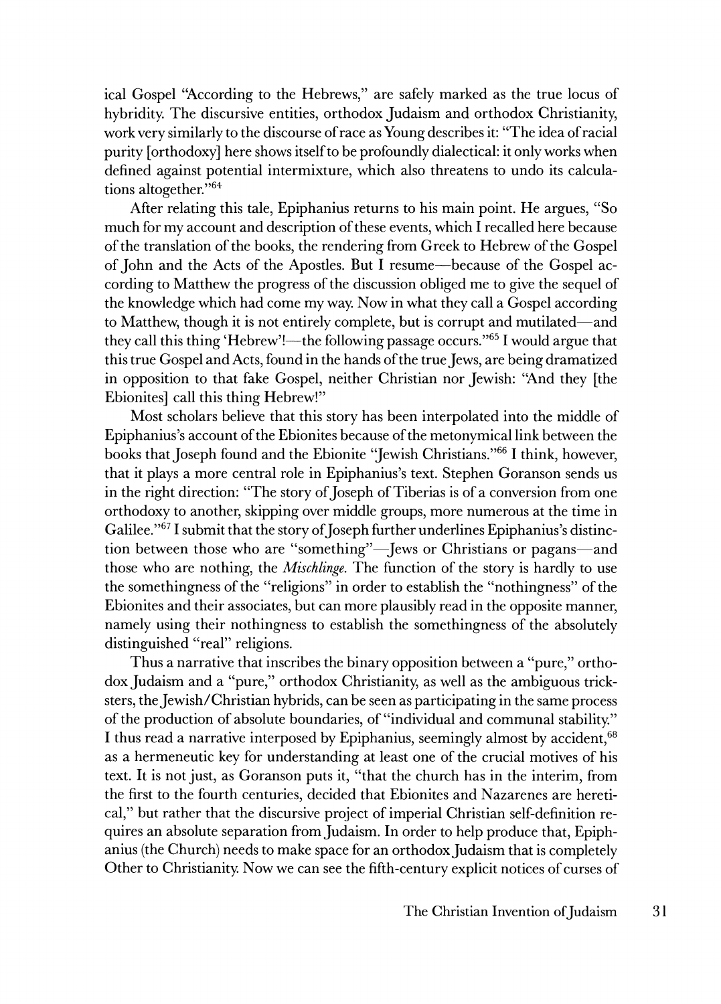**ical Gospel "According to the Hebrews," are safely marked as the true locus of hybridity. The discursive entities, orthodox Judaism and orthodox Christianity, work very similarly to the discourse of race as Young describes it: "The idea of racial purity [orthodoxy] here shows itself to be profoundly dialectical: it only works when defined against potential intermixture, which also threatens to undo its calculations altogether."64** 

**After relating this tale, Epiphanius returns to his main point. He argues, "So much for my account and description of these events, which I recalled here because of the translation of the books, the rendering from Greek to Hebrew of the Gospel of John and the Acts of the Apostles. But I resume-because of the Gospel according to Matthew the progress of the discussion obliged me to give the sequel of the knowledge which had come my way. Now in what they call a Gospel according to Matthew, though it is not entirely complete, but is corrupt and mutilated-and**  they call this thing 'Hebrew'!—the following passage occurs."<sup>65</sup> I would argue that **this true Gospel and Acts, found in the hands of the true Jews, are being dramatized in opposition to that fake Gospel, neither Christian nor Jewish: "And they [the Ebionites] call this thing Hebrew!"** 

**Most scholars believe that this story has been interpolated into the middle of Epiphanius's account of the Ebionites because of the metonymical link between the books that Joseph found and the Ebionite 'Jewish Christians."66 I think, however, that it plays a more central role in Epiphanius's text. Stephen Goranson sends us in the right direction: "The story of Joseph of Tiberias is of a conversion from one orthodoxy to another, skipping over middle groups, more numerous at the time in**  Galilee."<sup>67</sup> I submit that the story of Joseph further underlines Epiphanius's distinction between those who are "something"-Jews or Christians or pagans-and **those who are nothing, the Mischlinge. The function of the story is hardly to use the somethingness of the "religions" in order to establish the "nothingness" of the Ebionites and their associates, but can more plausibly read in the opposite manner, namely using their nothingness to establish the somethingness of the absolutely distinguished "real" religions.** 

**Thus a narrative that inscribes the binary opposition between a "pure," orthodox Judaism and a "pure," orthodox Christianity, as well as the ambiguous tricksters, the Jewish/Christian hybrids, can be seen as participating in the same process of the production of absolute boundaries, of "individual and communal stability." I thus read a narrative interposed by Epiphanius, seemingly almost by accident,68 as a hermeneutic key for understanding at least one of the crucial motives of his text. It is not just, as Goranson puts it, "that the church has in the interim, from the first to the fourth centuries, decided that Ebionites and Nazarenes are heretical," but rather that the discursive project of imperial Christian self-definition requires an absolute separation from Judaism. In order to help produce that, Epiph**anius (the Church) needs to make space for an orthodox Judaism that is completely **Other to Christianity. Now we can see the fifth-century explicit notices of curses of**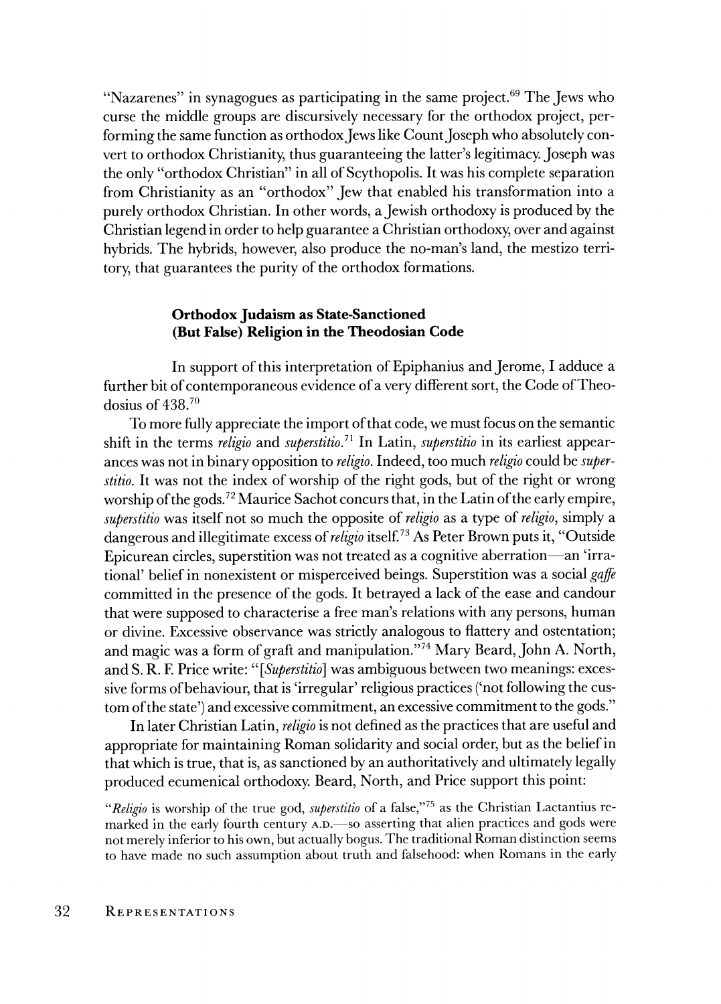**"Nazarenes" in synagogues as participating in the same project.69 The Jews who curse the middle groups are discursively necessary for the orthodox project, per**forming the same function as orthodox Jews like Count Joseph who absolutely con**vert to orthodox Christianity, thus guaranteeing the latter's legitimacy. Joseph was the only "orthodox Christian" in all of Scythopolis. It was his complete separation from Christianity as an "orthodox" Jew that enabled his transformation into a purely orthodox Christian. In other words, a Jewish orthodoxy is produced by the Christian legend in order to help guarantee a Christian orthodoxy, over and against hybrids. The hybrids, however, also produce the no-man's land, the mestizo territory, that guarantees the purity of the orthodox formations.** 

## **Orthodox Judaism as State-Sanctioned (But False) Religion in the Theodosian Code**

**In support of this interpretation of Epiphanius and Jerome, I adduce a further bit of contemporaneous evidence of a very different sort, the Code of Theodosius of 438.70** 

**To more fully appreciate the import of that code, we must focus on the semantic**  shift in the terms *religio* and *superstitio*.<sup>71</sup> In Latin, *superstitio* in its earliest appear**ances was not in binary opposition to religio. Indeed, too much religio could be superstitio. It was not the index of worship of the right gods, but of the right or wrong worship of the gods.72 Maurice Sachot concurs that, in the Latin of the early empire, superstitio was itself not so much the opposite of religio as a type of religio, simply a dangerous and illegitimate excess of religio itself.73 As Peter Brown puts it, "Outside Epicurean circles, superstition was not treated as a cognitive aberration-an 'irrational' belief in nonexistent or misperceived beings. Superstition was a social gaffe committed in the presence of the gods. It betrayed a lack of the ease and candour that were supposed to characterise a free man's relations with any persons, human or divine. Excessive observance was strictly analogous to flattery and ostentation; and magic was a form of graft and manipulation."74 Mary Beard, John A. North, and S. R. E Price write: "[Superstitio] was ambiguous between two meanings: excessive forms of behaviour, that is 'irregular' religious practices ('not following the custom of the state') and excessive commitment, an excessive commitment to the gods."** 

**In later Christian Latin, religio is not defined as the practices that are useful and appropriate for maintaining Roman solidarity and social order, but as the belief in that which is true, that is, as sanctioned by an authoritatively and ultimately legally produced ecumenical orthodoxy. Beard, North, and Price support this point:** 

**"Religio is worship of the true god, superstitio of a false,"75 as the Christian Lactantius re**marked in the early fourth century A.D.-so asserting that alien practices and gods were **not merely inferior to his own, but actually bogus. The traditional Roman distinction seems to have made no such assumption about truth and falsehood: when Romans in the early**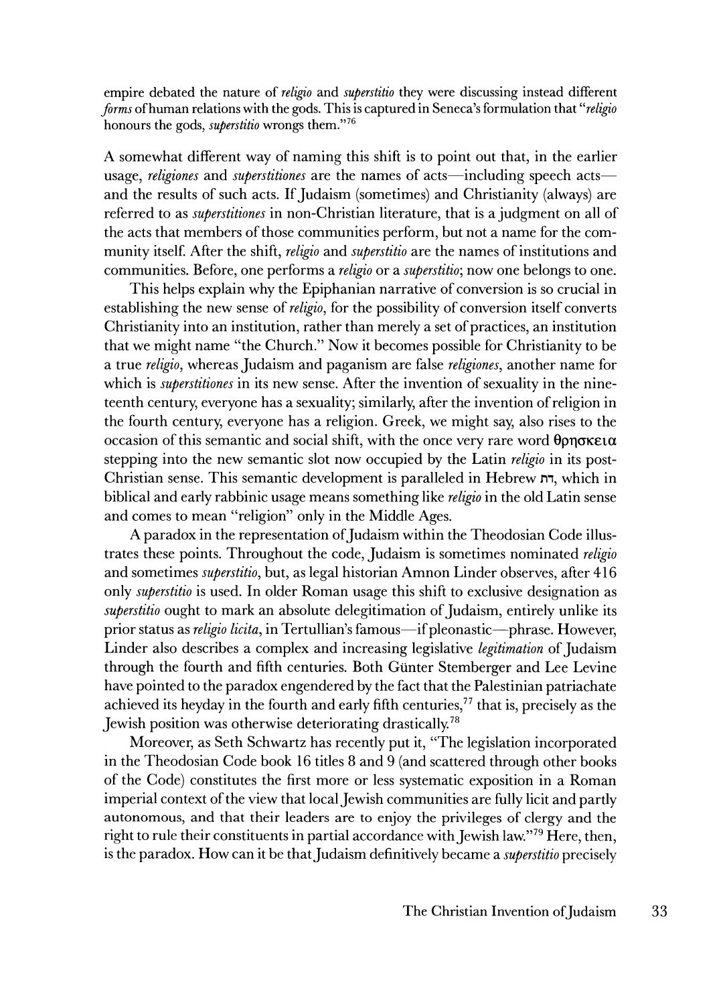**empire debated the nature of religio and superstitio they were discussing instead different forms of human relations with the gods. This is captured in Seneca's formulation that "religio honours the gods, superstitio wrongs them."76** 

**A somewhat different way of naming this shift is to point out that, in the earlier**  usage, *religiones* and *superstitiones* are the names of acts—including speech acts **and the results of such acts. If Judaism (sometimes) and Christianity (always) are referred to as superstitiones in non-Christian literature, that is a judgment on all of the acts that members of those communities perform, but not a name for the community itself. After the shift, religio and superstitio are the names of institutions and communities. Before, one performs a religio or a superstitio; now one belongs to one.** 

**This helps explain why the Epiphanian narrative of conversion is so crucial in establishing the new sense of religio, for the possibility of conversion itself converts Christianity into an institution, rather than merely a set of practices, an institution that we might name "the Church." Now it becomes possible for Christianity to be a true religio, whereas Judaism and paganism are false religiones, another name for**  which is *superstitiones* in its new sense. After the invention of sexuality in the nine**teenth century, everyone has a sexuality; similarly, after the invention of religion in the fourth century, everyone has a religion. Greek, we might say, also rises to the**   $\alpha$  occasion of this semantic and social shift, with the once very rare word  $\theta$ *p* $\rho$  $\alpha$ ει $\alpha$ **stepping into the new semantic slot now occupied by the Latin religio in its post-Christian sense. This semantic development is paralleled in Hebrew n', which in biblical and early rabbinic usage means something like religio in the old Latin sense and comes to mean "religion" only in the Middle Ages.** 

A paradox in the representation of Judaism within the Theodosian Code illus**trates these points. Throughout the code, Judaism is sometimes nominated religio and sometimes superstitio, but, as legal historian Amnon Linder observes, after 416 only superstitio is used. In older Roman usage this shift to exclusive designation as superstitio ought to mark an absolute delegitimation of Judaism, entirely unlike its prior status as religio licita, in Tertullian's famous-if pleonastic-phrase. However, Linder also describes a complex and increasing legislative legitimation of Judaism through the fourth and fifth centuries. Both Ginter Stemberger and Lee Levine have pointed to the paradox engendered by the fact that the Palestinian patriachate achieved its heyday in the fourth and early fifth centuries,77 that is, precisely as the Jewish position was otherwise deteriorating drastically.78** 

**Moreover, as Seth Schwartz has recently put it, "The legislation incorporated in the Theodosian Code book 16 titles 8 and 9 (and scattered through other books of the Code) constitutes the first more or less systematic exposition in a Roman imperial context of the view that local Jewish communities are fully licit and partly autonomous, and that their leaders are to enjoy the privileges of clergy and the**  right to rule their constituents in partial accordance with Jewish law."<sup>79</sup> Here, then, is the paradox. How can it be that Judaism definitively became a *superstitio* precisely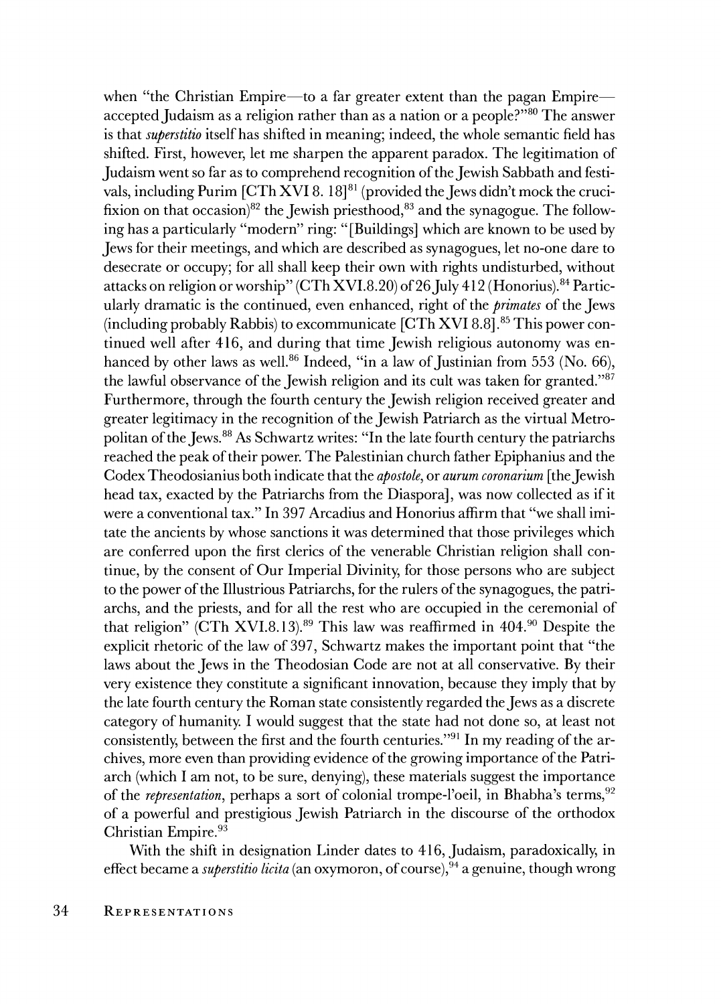when "the Christian Empire—to a far greater extent than the pagan Empire **accepted Judaism as a religion rather than as a nation or a people?"80 The answer is that superstitio itself has shifted in meaning; indeed, the whole semantic field has shifted. First, however, let me sharpen the apparent paradox. The legitimation of Judaism went so far as to comprehend recognition of the Jewish Sabbath and festi**vals, including Purim [CTh XVI 8. 18]<sup>81</sup> (provided the Jews didn't mock the crucifixion on that occasion)<sup>82</sup> the Jewish priesthood,<sup>83</sup> and the synagogue. The follow**ing has a particularly "modern" ring: "[Buildings] which are known to be used by Jews for their meetings, and which are described as synagogues, let no-one dare to desecrate or occupy; for all shall keep their own with rights undisturbed, without**  attacks on religion or worship" (CTh XVI.8.20) of 26 July 412 (Honorius).<sup>84</sup> Partic**ularly dramatic is the continued, even enhanced, right of the primates of the Jews (including probably Rabbis) to excommunicate [CTh XVI 8.8].85 This power continued well after 416, and during that time Jewish religious autonomy was en**hanced by other laws as well.<sup>86</sup> Indeed, "in a law of Justinian from 553 (No. 66), **the lawful observance of the Jewish religion and its cult was taken for granted."87 Furthermore, through the fourth century the Jewish religion received greater and greater legitimacy in the recognition of the Jewish Patriarch as the virtual Metropolitan of the Jews.88 As Schwartz writes: "In the late fourth century the patriarchs reached the peak of their power. The Palestinian church father Epiphanius and the**  Codex Theodosianius both indicate that the *apostole*, or *aurum coronarium* [the Jewish **head tax, exacted by the Patriarchs from the Diaspora], was now collected as if it were a conventional tax." In 397 Arcadius and Honorius affirm that "we shall imitate the ancients by whose sanctions it was determined that those privileges which are conferred upon the first clerics of the venerable Christian religion shall continue, by the consent of Our Imperial Divinity, for those persons who are subject to the power of the Illustrious Patriarchs, for the rulers of the synagogues, the patriarchs, and the priests, and for all the rest who are occupied in the ceremonial of**  that religion" (CTh XVI.8.13).<sup>89</sup> This law was reaffirmed in 404.<sup>90</sup> Despite the **explicit rhetoric of the law of 397, Schwartz makes the important point that "the laws about the Jews in the Theodosian Code are not at all conservative. By their very existence they constitute a significant innovation, because they imply that by the late fourth century the Roman state consistently regarded the Jews as a discrete category of humanity. I would suggest that the state had not done so, at least not consistently, between the first and the fourth centuries."9' In my reading of the archives, more even than providing evidence of the growing importance of the Patriarch (which I am not, to be sure, denying), these materials suggest the importance**  of the *representation*, perhaps a sort of colonial trompe-l'oeil, in Bhabha's terms,<sup>92</sup> **of a powerful and prestigious Jewish Patriarch in the discourse of the orthodox Christian Empire.93** 

**With the shift in designation Linder dates to 416, Judaism, paradoxically, in**  effect became a *superstitio licita* (an oxymoron, of course),<sup>94</sup> a genuine, though wrong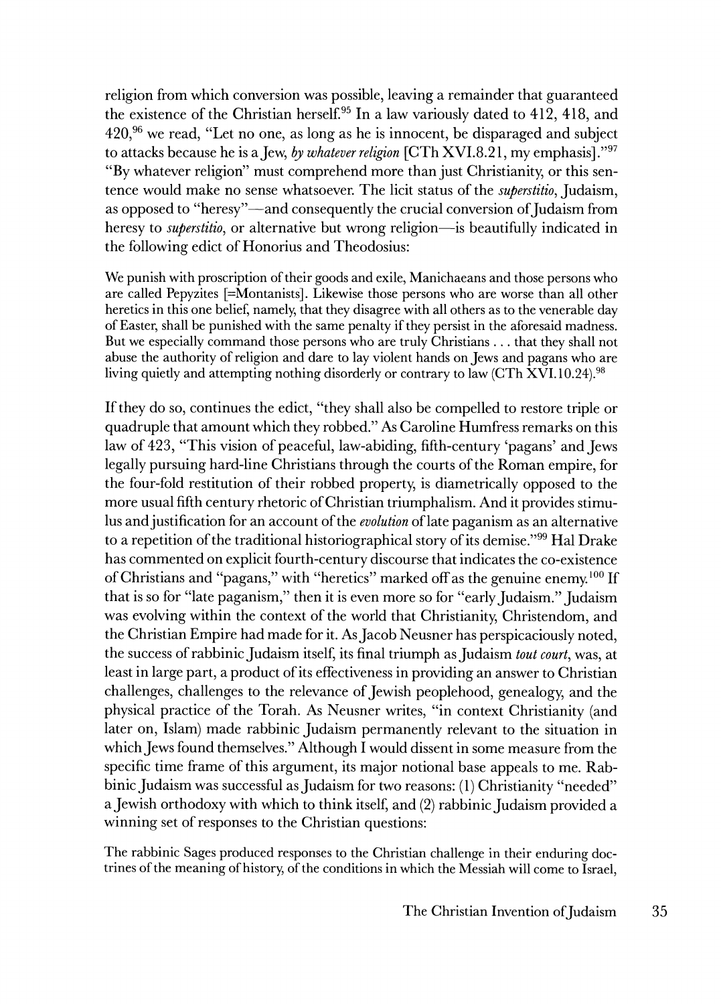**religion from which conversion was possible, leaving a remainder that guaranteed the existence of the Christian herself.95 In a law variously dated to 412, 418, and 420,96 we read, "Let no one, as long as he is innocent, be disparaged and subject**  to attacks because he is a Jew, by whatever religion [CTh XVI.8.21, my emphasis]."<sup>97</sup> **"By whatever religion" must comprehend more than just Christianity, or this sentence would make no sense whatsoever. The licit status of the superstitio, Judaism,**  as opposed to "heresy"—and consequently the crucial conversion of Judaism from heresy to *superstitio*, or alternative but wrong religion—is beautifully indicated in **the following edict of Honorius and Theodosius:** 

**We punish with proscription of their goods and exile, Manichaeans and those persons who are called Pepyzites [=Montanists]. Likewise those persons who are worse than all other heretics in this one belief, namely, that they disagree with all others as to the venerable day of Easter, shall be punished with the same penalty if they persist in the aforesaid madness. But we especially command those persons who are truly Christians ... that they shall not abuse the authority of religion and dare to lay violent hands on Jews and pagans who are living quietly and attempting nothing disorderly or contrary to law (CTh XVI. 10.24).98** 

**If they do so, continues the edict, "they shall also be compelled to restore triple or quadruple that amount which they robbed." As Caroline Humfress remarks on this law of 423, "This vision of peaceful, law-abiding, fifth-century 'pagans' and Jews legally pursuing hard-line Christians through the courts of the Roman empire, for the four-fold restitution of their robbed property, is diametrically opposed to the more usual fifth century rhetoric of Christian triumphalism. And it provides stimulus andjustification for an account of the evolution of late paganism as an alternative to a repetition of the traditional historiographical story of its demise."99 Hal Drake has commented on explicit fourth-century discourse that indicates the co-existence of Christians and "pagans," with "heretics" marked off as the genuine enemy.'00 If that is so for "late paganism," then it is even more so for "early Judaism." Judaism was evolving within the context of the world that Christianity, Christendom, and the Christian Empire had made for it. As Jacob Neusner has perspicaciously noted, the success of rabbinic Judaism itself, its final triumph as Judaism tout court, was, at least in large part, a product of its effectiveness in providing an answer to Christian challenges, challenges to the relevance of Jewish peoplehood, genealogy, and the physical practice of the Torah. As Neusner writes, "in context Christianity (and later on, Islam) made rabbinic Judaism permanently relevant to the situation in which Jews found themselves." Although I would dissent in some measure from the specific time frame of this argument, its major notional base appeals to me. Rabbinic Judaism was successful as Judaism for two reasons: (1) Christianity "needed" a Jewish orthodoxy with which to think itself, and (2) rabbinic Judaism provided a winning set of responses to the Christian questions:** 

**The rabbinic Sages produced responses to the Christian challenge in their enduring doctrines of the meaning of history, of the conditions in which the Messiah will come to Israel,**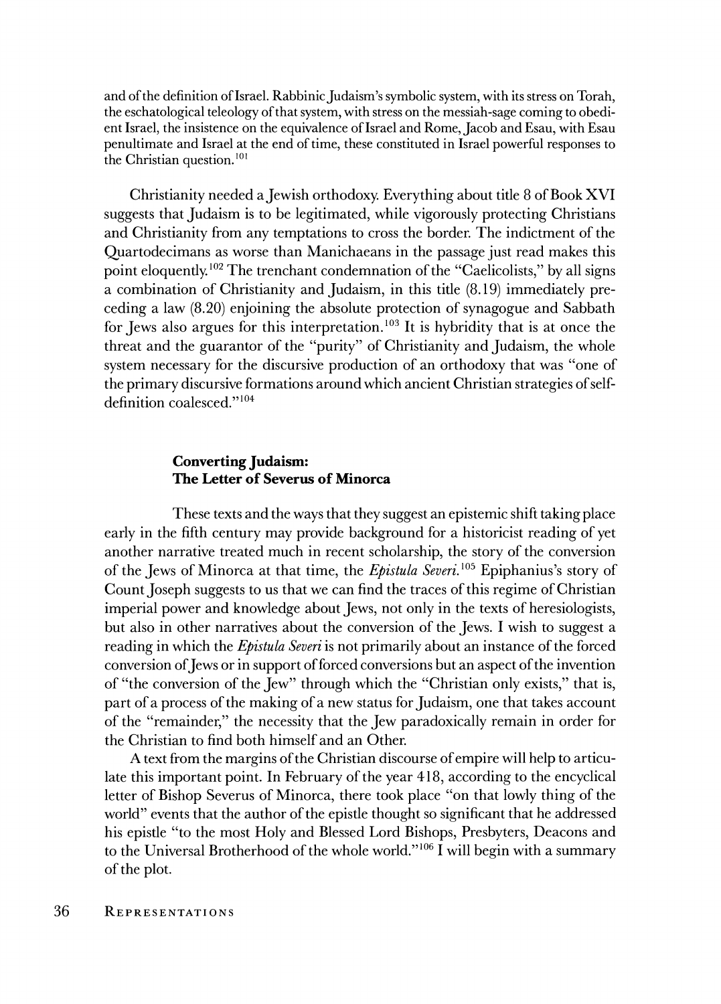**and of the definition of Israel. Rabbinic Judaism's symbolic system, with its stress on Torah, the eschatological teleology of that system, with stress on the messiah-sage coming to obedient Israel, the insistence on the equivalence of Israel and Rome, Jacob and Esau, with Esau penultimate and Israel at the end of time, these constituted in Israel powerful responses to the Christian question.101** 

**Christianity needed a Jewish orthodoxy. Everything about title 8 of Book XVI suggests that Judaism is to be legitimated, while vigorously protecting Christians and Christianity from any temptations to cross the border. The indictment of the Quartodecimans as worse than Manichaeans in the passage just read makes this point eloquently.'02 The trenchant condemnation of the "Caelicolists," by all signs a combination of Christianity and Judaism, in this title (8.19) immediately preceding a law (8.20) enjoining the absolute protection of synagogue and Sabbath for Jews also argues for this interpretation.'03 It is hybridity that is at once the threat and the guarantor of the "purity" of Christianity and Judaism, the whole system necessary for the discursive production of an orthodoxy that was "one of the primary discursive formations around which ancient Christian strategies of selfdefinition coalesced."'04** 

#### **Converting Judaism: The Letter of Severus of Minorca**

**These texts and the ways that they suggest an epistemic shift taking place early in the fifth century may provide background for a historicist reading of yet another narrative treated much in recent scholarship, the story of the conversion of the Jews of Minorca at that time, the Epistula Severi.'05 Epiphanius's story of Count Joseph suggests to us that we can find the traces of this regime of Christian imperial power and knowledge about Jews, not only in the texts of heresiologists, but also in other narratives about the conversion of the Jews. I wish to suggest a reading in which the Epistula Severi is not primarily about an instance of the forced**  conversion of Jews or in support of forced conversions but an aspect of the invention **of "the conversion of the Jew" through which the "Christian only exists," that is, part of a process of the making of a new status for Judaism, one that takes account of the "remainder," the necessity that the Jew paradoxically remain in order for the Christian to find both himself and an Other.** 

**A text from the margins of the Christian discourse of empire will help to articulate this important point. In February of the year 418, according to the encyclical letter of Bishop Severus of Minorca, there took place "on that lowly thing of the world" events that the author of the epistle thought so significant that he addressed his epistle "to the most Holy and Blessed Lord Bishops, Presbyters, Deacons and to the Universal Brotherhood of the whole world."'06 I will begin with a summary of the plot.**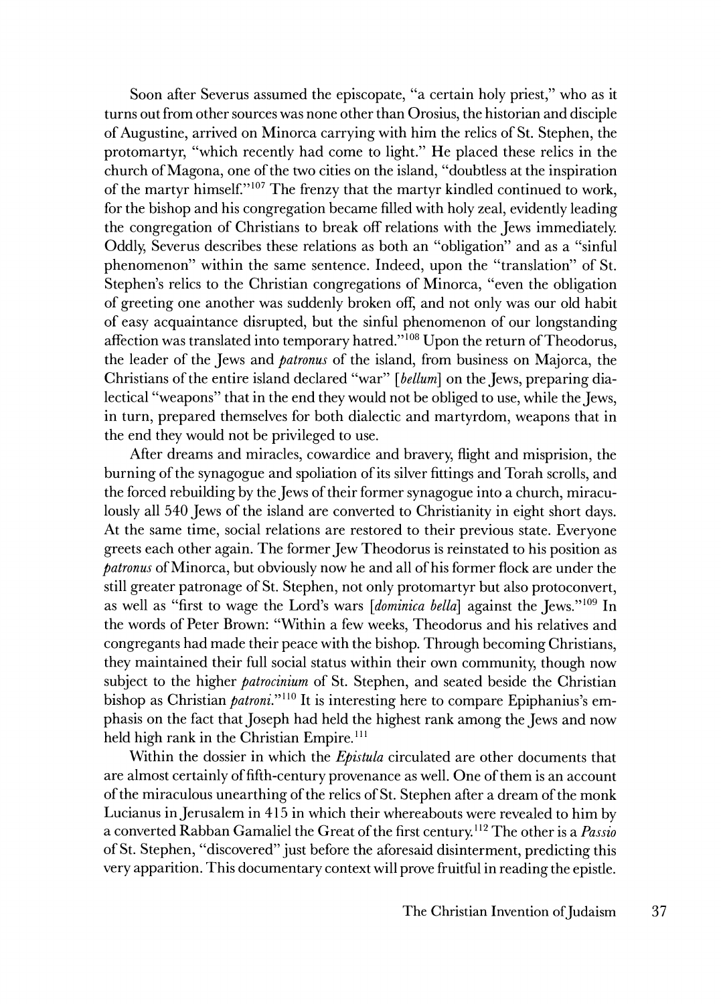**Soon after Severus assumed the episcopate, "a certain holy priest," who as it turns out from other sources was none other than Orosius, the historian and disciple of Augustine, arrived on Minorca carrying with him the relics of St. Stephen, the protomartyr, "which recently had come to light." He placed these relics in the church of Magona, one of the two cities on the island, "doubtless at the inspiration of the martyr himself."'07 The frenzy that the martyr kindled continued to work, for the bishop and his congregation became filled with holy zeal, evidently leading the congregation of Christians to break off relations with the Jews immediately. Oddly, Severus describes these relations as both an "obligation" and as a "sinful phenomenon" within the same sentence. Indeed, upon the "translation" of St. Stephen's relics to the Christian congregations of Minorca, "even the obligation of greeting one another was suddenly broken off, and not only was our old habit of easy acquaintance disrupted, but the sinful phenomenon of our longstanding affection was translated into temporary hatred."'08 Upon the return of Theodorus, the leader of the Jews and patronus of the island, from business on Majorca, the Christians of the entire island declared "war" [bellum] on the Jews, preparing dialectical "weapons" that in the end they would not be obliged to use, while the Jews, in turn, prepared themselves for both dialectic and martyrdom, weapons that in the end they would not be privileged to use.** 

**After dreams and miracles, cowardice and bravery, flight and misprision, the burning of the synagogue and spoliation of its silver fittings and Torah scrolls, and the forced rebuilding by the Jews of their former synagogue into a church, miraculously all 540 Jews of the island are converted to Christianity in eight short days. At the same time, social relations are restored to their previous state. Everyone greets each other again. The former Jew Theodorus is reinstated to his position as patronus of Minorca, but obviously now he and all of his former flock are under the still greater patronage of St. Stephen, not only protomartyr but also protoconvert, as well as "first to wage the Lord's wars [dominica bella] against the Jews."'09 In the words of Peter Brown: "Within a few weeks, Theodorus and his relatives and congregants had made their peace with the bishop. Through becoming Christians, they maintained their full social status within their own community, though now subject to the higher patrocinium of St. Stephen, and seated beside the Christian**  bishop as Christian *patroni*."<sup>110</sup> It is interesting here to compare Epiphanius's em**phasis on the fact that Joseph had held the highest rank among the Jews and now**  held high rank in the Christian Empire.<sup>111</sup>

**Within the dossier in which the Epistula circulated are other documents that are almost certainly of fifth-century provenance as well. One of them is an account of the miraculous unearthing of the relics of St. Stephen after a dream of the monk Lucianus in Jerusalem in 415 in which their whereabouts were revealed to him by a converted Rabban Gamaliel the Great of the first century. <sup>2</sup>The other is a Passio of St. Stephen, "discovered" just before the aforesaid disinterment, predicting this very apparition. This documentary context will prove fruitful in reading the epistle.**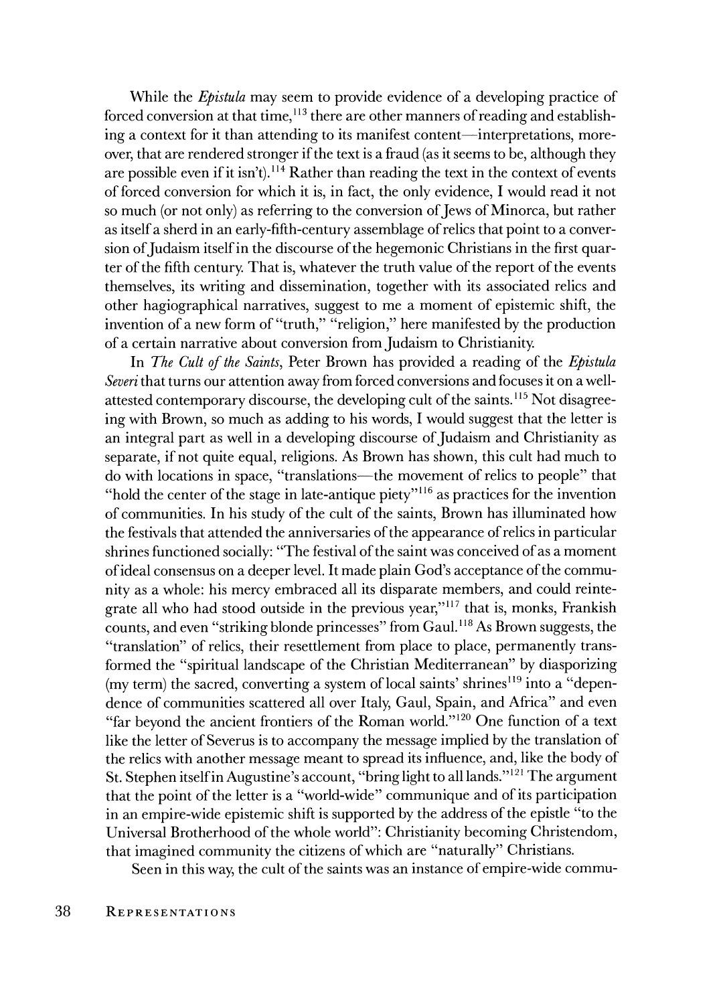**While the Epistula may seem to provide evidence of a developing practice of forced conversion at that time, 13 there are other manners of reading and establish**ing a context for it than attending to its manifest content—interpretations, more**over, that are rendered stronger if the text is a fraud (as it seems to be, although they are possible even if it isn't).114 Rather than reading the text in the context of events of forced conversion for which it is, in fact, the only evidence, I would read it not so much (or not only) as referring to the conversion of Jews of Minorca, but rather as itself a sherd in an early-fifth-century assemblage of relics that point to a conver**sion of Judaism itself in the discourse of the hegemonic Christians in the first quar**ter of the fifth century. That is, whatever the truth value of the report of the events themselves, its writing and dissemination, together with its associated relics and other hagiographical narratives, suggest to me a moment of epistemic shift, the invention of a new form of "truth," "religion," here manifested by the production of a certain narrative about conversion from Judaism to Christianity.** 

**In The Cult of the Saints, Peter Brown has provided a reading of the Epistula Severi that turns our attention away from forced conversions and focuses it on a wellattested contemporary discourse, the developing cult of the saints. 15 Not disagreeing with Brown, so much as adding to his words, I would suggest that the letter is an integral part as well in a developing discourse of Judaism and Christianity as separate, if not quite equal, religions. As Brown has shown, this cult had much to**  do with locations in space, "translations-the movement of relics to people" that **"hold the center of the stage in late-antique piety"116 as practices for the invention of communities. In his study of the cult of the saints, Brown has illuminated how the festivals that attended the anniversaries of the appearance of relics in particular shrines functioned socially: "The festival of the saint was conceived of as a moment of ideal consensus on a deeper level. It made plain God's acceptance of the community as a whole: his mercy embraced all its disparate members, and could reintegrate all who had stood outside in the previous year,"117 that is, monks, Frankish counts, and even "striking blonde princesses" from Gaul.118 As Brown suggests, the "translation" of relics, their resettlement from place to place, permanently transformed the "spiritual landscape of the Christian Mediterranean" by diasporizing**  (my term) the sacred, converting a system of local saints' shrines<sup>119</sup> into a "depen**dence of communities scattered all over Italy, Gaul, Spain, and Africa" and even "far beyond the ancient frontiers of the Roman world."'2? One function of a text like the letter of Severus is to accompany the message implied by the translation of the relics with another message meant to spread its influence, and, like the body of**  St. Stephen itself in Augustine's account, "bring light to all lands."<sup>121</sup> The argument **that the point of the letter is a "world-wide" communique and of its participation in an empire-wide epistemic shift is supported by the address of the epistle "to the Universal Brotherhood of the whole world": Christianity becoming Christendom, that imagined community the citizens of which are "naturally" Christians.** 

**Seen in this way, the cult of the saints was an instance of empire-wide commu-**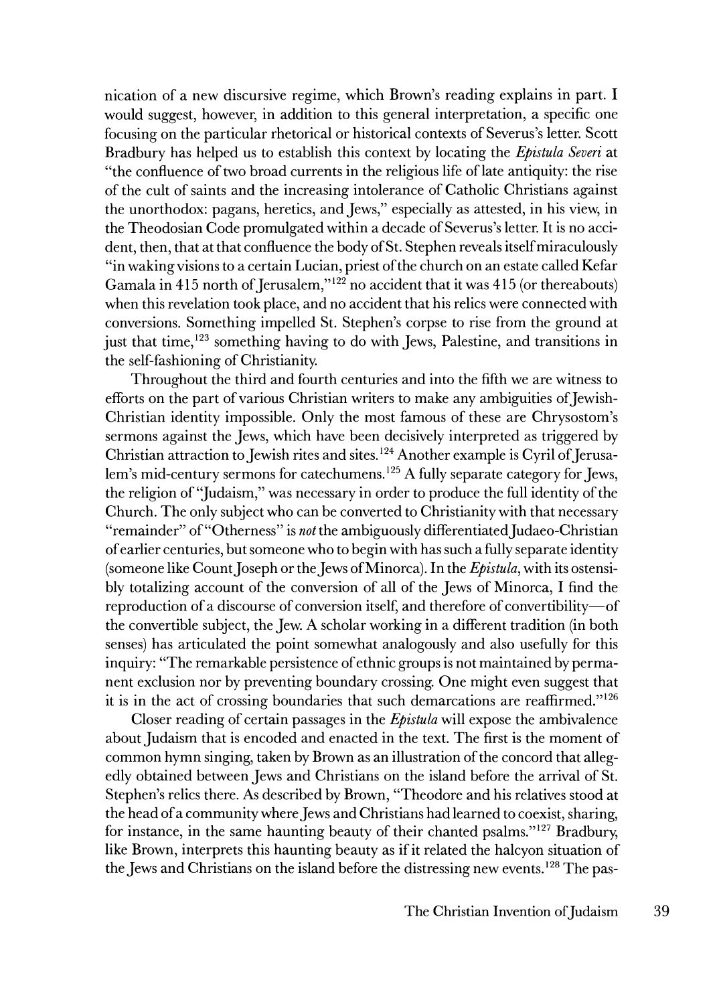**nication of a new discursive regime, which Brown's reading explains in part. I would suggest, however, in addition to this general interpretation, a specific one focusing on the particular rhetorical or historical contexts of Severus's letter. Scott Bradbury has helped us to establish this context by locating the Epistula Severi at "the confluence of two broad currents in the religious life of late antiquity: the rise of the cult of saints and the increasing intolerance of Catholic Christians against the unorthodox: pagans, heretics, and Jews," especially as attested, in his view, in the Theodosian Code promulgated within a decade of Severus's letter. It is no accident, then, that at that confluence the body of St. Stephen reveals itself miraculously "in waking visions to a certain Lucian, priest of the church on an estate called Kefar**  Gamala in 415 north of Jerusalem,"<sup>122</sup> no accident that it was 415 (or thereabouts) **when this revelation took place, and no accident that his relics were connected with conversions. Something impelled St. Stephen's corpse to rise from the ground at just that time,123 something having to do with Jews, Palestine, and transitions in the self-fashioning of Christianity.** 

**Throughout the third and fourth centuries and into the fifth we are witness to**  efforts on the part of various Christian writers to make any ambiguities of Jewish-**Christian identity impossible. Only the most famous of these are Chrysostom's sermons against the Jews, which have been decisively interpreted as triggered by**  Christian attraction to Jewish rites and sites.<sup>124</sup> Another example is Cyril of Jerusa**lem's mid-century sermons for catechumens.125 A fully separate category for Jews, the religion of "Judaism," was necessary in order to produce the full identity of the Church. The only subject who can be converted to Christianity with that necessary**  "remainder" of "Otherness" is not the ambiguously differentiated Judaeo-Christian **of earlier centuries, but someone who to begin with has such a fully separate identity**  (someone like Count Joseph or the Jews of Minorca). In the *Epistula*, with its ostensi**bly totalizing account of the conversion of all of the Jews of Minorca, I find the reproduction of a discourse of conversion itself, and therefore of convertibility-of the convertible subject, the Jew. A scholar working in a different tradition (in both senses) has articulated the point somewhat analogously and also usefully for this inquiry: "The remarkable persistence of ethnic groups is not maintained by permanent exclusion nor by preventing boundary crossing. One might even suggest that it is in the act of crossing boundaries that such demarcations are reaffirmed."'26** 

**Closer reading of certain passages in the Epistula will expose the ambivalence about Judaism that is encoded and enacted in the text. The first is the moment of common hymn singing, taken by Brown as an illustration of the concord that allegedly obtained between Jews and Christians on the island before the arrival of St. Stephen's relics there. As described by Brown, "Theodore and his relatives stood at the head of a community where Jews and Christians had learned to coexist, sharing, for instance, in the same haunting beauty of their chanted psalms."'27 Bradbury, like Brown, interprets this haunting beauty as if it related the halcyon situation of the Jews and Christians on the island before the distressing new events.128 The pas-**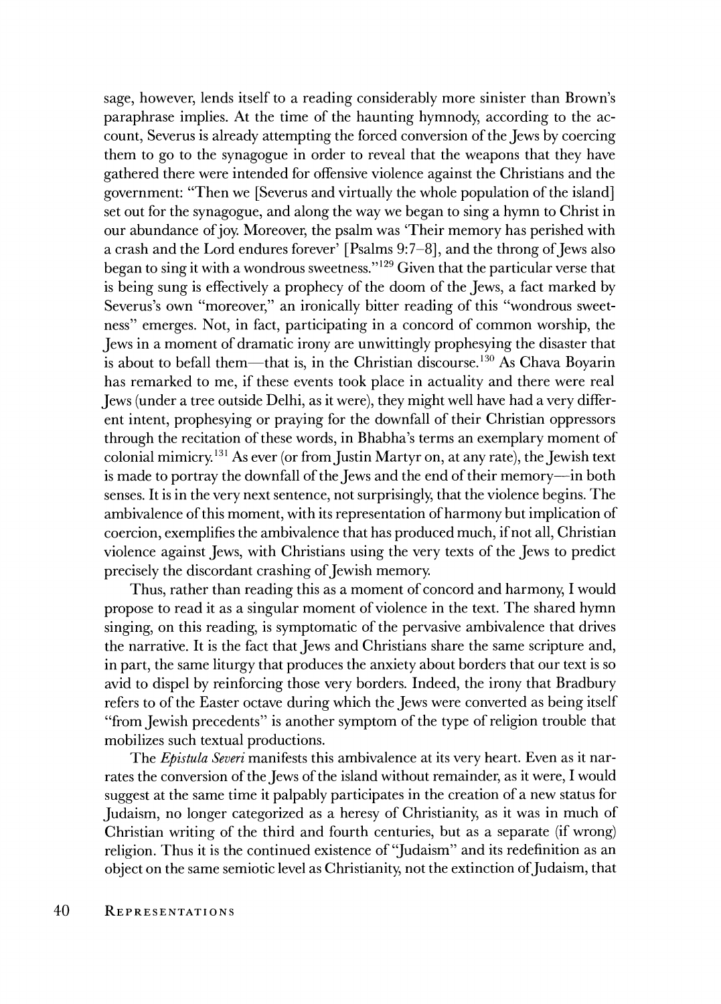**sage, however, lends itself to a reading considerably more sinister than Brown's paraphrase implies. At the time of the haunting hymnody, according to the account, Severus is already attempting the forced conversion of the Jews by coercing them to go to the synagogue in order to reveal that the weapons that they have gathered there were intended for offensive violence against the Christians and the government: "Then we [Severus and virtually the whole population of the island] set out for the synagogue, and along the way we began to sing a hymn to Christ in our abundance ofjoy. Moreover, the psalm was 'Their memory has perished with**  a crash and the Lord endures forever' [Psalms 9:7-8], and the throng of Jews also **began to sing it with a wondrous sweetness."'29 Given that the particular verse that is being sung is effectively a prophecy of the doom of the Jews, a fact marked by Severus's own "moreover," an ironically bitter reading of this "wondrous sweetness" emerges. Not, in fact, participating in a concord of common worship, the Jews in a moment of dramatic irony are unwittingly prophesying the disaster that is about to befall them-that is, in the Christian discourse.'30 As Chava Boyarin has remarked to me, if these events took place in actuality and there were real Jews (under a tree outside Delhi, as it were), they might well have had a very different intent, prophesying or praying for the downfall of their Christian oppressors through the recitation of these words, in Bhabha's terms an exemplary moment of colonial mimicry.'3' As ever (or from Justin Martyr on, at any rate), the Jewish text is made to portray the downfall of the Jews and the end of their memory-in both senses. It is in the very next sentence, not surprisingly, that the violence begins. The ambivalence of this moment, with its representation of harmony but implication of coercion, exemplifies the ambivalence that has produced much, if not all, Christian violence against Jews, with Christians using the very texts of the Jews to predict precisely the discordant crashing of Jewish memory.** 

**Thus, rather than reading this as a moment of concord and harmony, I would propose to read it as a singular moment of violence in the text. The shared hymn singing, on this reading, is symptomatic of the pervasive ambivalence that drives the narrative. It is the fact that Jews and Christians share the same scripture and, in part, the same liturgy that produces the anxiety about borders that our text is so avid to dispel by reinforcing those very borders. Indeed, the irony that Bradbury refers to of the Easter octave during which the Jews were converted as being itself "from Jewish precedents" is another symptom of the type of religion trouble that mobilizes such textual productions.** 

**The Epistula Severi manifests this ambivalence at its very heart. Even as it narrates the conversion of the Jews of the island without remainder, as it were, I would suggest at the same time it palpably participates in the creation of a new status for Judaism, no longer categorized as a heresy of Christianity, as it was in much of Christian writing of the third and fourth centuries, but as a separate (if wrong) religion. Thus it is the continued existence of 'Judaism" and its redefinition as an**  object on the same semiotic level as Christianity, not the extinction of Judaism, that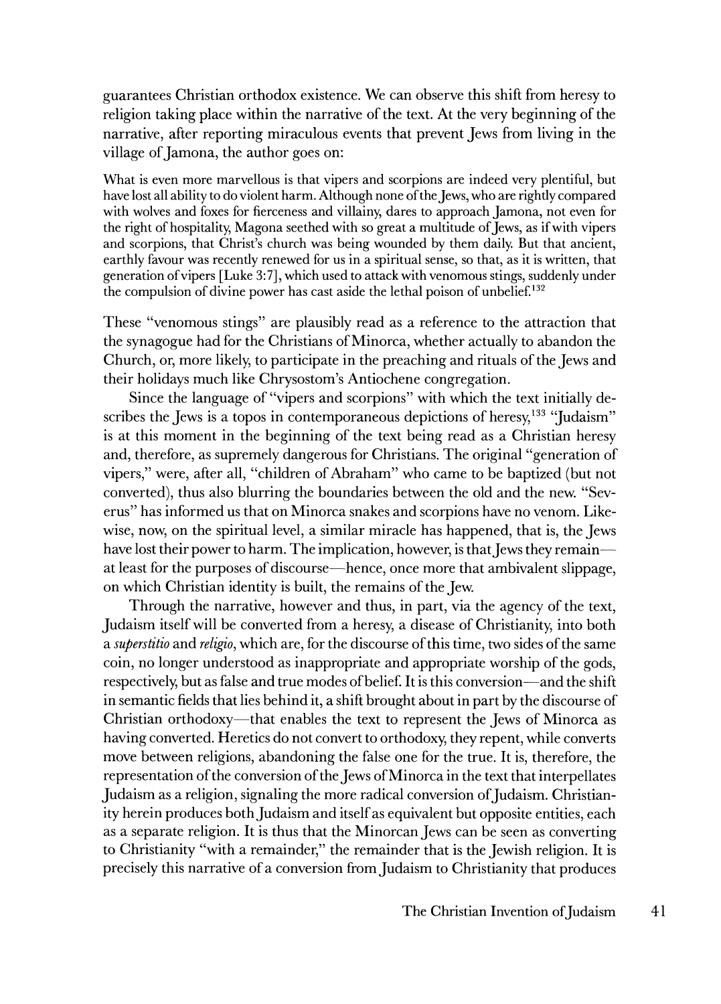**guarantees Christian orthodox existence. We can observe this shift from heresy to religion taking place within the narrative of the text. At the very beginning of the narrative, after reporting miraculous events that prevent Jews from living in the**  village of Jamona, the author goes on:

**What is even more marvellous is that vipers and scorpions are indeed very plentiful, but have lost all ability to do violent harm. Although none of the Jews, who are rightly compared with wolves and foxes for fierceness and villainy, dares to approach Jamona, not even for**  the right of hospitality, Magona seethed with so great a multitude of Jews, as if with vipers **and scorpions, that Christ's church was being wounded by them daily. But that ancient, earthly favour was recently renewed for us in a spiritual sense, so that, as it is written, that generation of vipers [Luke 3:7], which used to attack with venomous stings, suddenly under the compulsion of divine power has cast aside the lethal poison of unbelief.132** 

**These "venomous stings" are plausibly read as a reference to the attraction that the synagogue had for the Christians of Minorca, whether actually to abandon the Church, or, more likely, to participate in the preaching and rituals of the Jews and their holidays much like Chrysostom's Antiochene congregation.** 

**Since the language of "vipers and scorpions" with which the text initially de**scribes the Jews is a topos in contemporaneous depictions of heresy,<sup>133</sup> "Judaism" **is at this moment in the beginning of the text being read as a Christian heresy and, therefore, as supremely dangerous for Christians. The original "generation of vipers," were, after all, "children of Abraham" who came to be baptized (but not converted), thus also blurring the boundaries between the old and the new. "Severus" has informed us that on Minorca snakes and scorpions have no venom. Likewise, now, on the spiritual level, a similar miracle has happened, that is, the Jews**  have lost their power to harm. The implication, however, is that Jews they remain **at least for the purposes of discourse-hence, once more that ambivalent slippage, on which Christian identity is built, the remains of the Jew.** 

**Through the narrative, however and thus, in part, via the agency of the text, Judaism itself will be converted from a heresy, a disease of Christianity, into both a superstitio and religio, which are, for the discourse of this time, two sides of the same coin, no longer understood as inappropriate and appropriate worship of the gods, respectively, but as false and true modes of belief. It is this conversion-and the shift in semantic fields that lies behind it, a shift brought about in part by the discourse of**  Christian orthodoxy—that enables the text to represent the Jews of Minorca as **having converted. Heretics do not convert to orthodoxy, they repent, while converts move between religions, abandoning the false one for the true. It is, therefore, the representation of the conversion of the Jews of Minorca in the text that interpellates**  Judaism as a religion, signaling the more radical conversion of Judaism. Christian**ity herein produces both Judaism and itself as equivalent but opposite entities, each as a separate religion. It is thus that the Minorcan Jews can be seen as converting to Christianity "with a remainder," the remainder that is the Jewish religion. It is precisely this narrative of a conversion from Judaism to Christianity that produces**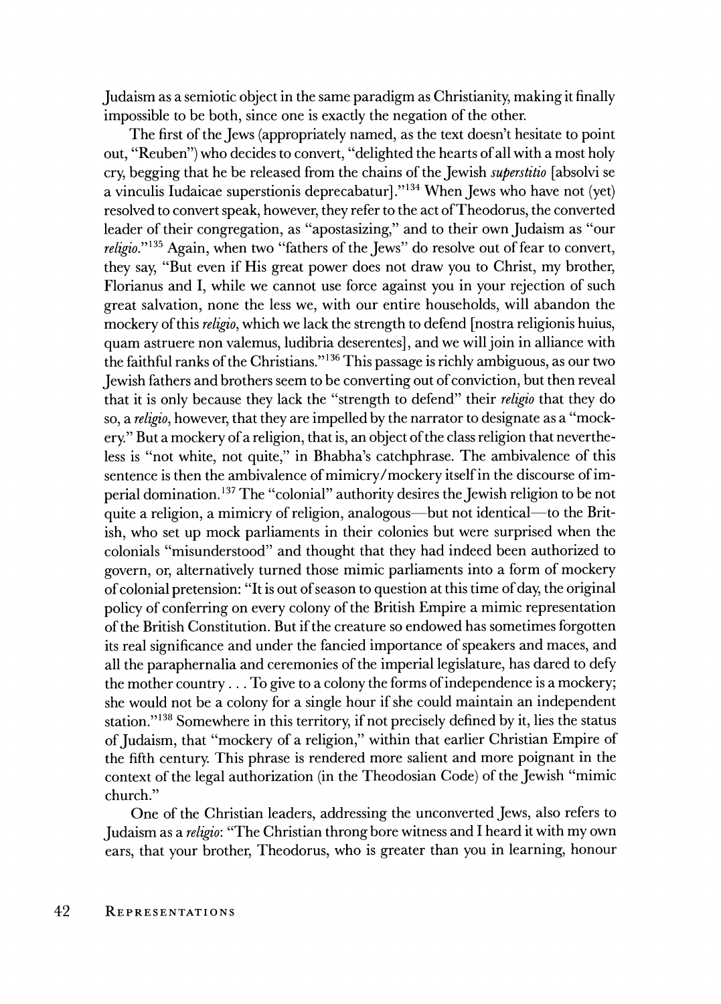**Judaism as a semiotic object in the same paradigm as Christianity, making it finally impossible to be both, since one is exactly the negation of the other.** 

**The first of the Jews (appropriately named, as the text doesn't hesitate to point out, "Reuben") who decides to convert, "delighted the hearts of all with a most holy cry, begging that he be released from the chains of the Jewish superstitio [absolvi se a vinculis Iudaicae superstionis deprecabatur]."134 When Jews who have not (yet) resolved to convert speak, however, they refer to the act of Theodorus, the converted leader of their congregation, as "apostasizing," and to their own Judaism as "our religio."'35 Again, when two "fathers of the Jews" do resolve out of fear to convert, they say, "But even if His great power does not draw you to Christ, my brother, Florianus and I, while we cannot use force against you in your rejection of such great salvation, none the less we, with our entire households, will abandon the mockery of this religio, which we lack the strength to defend [nostra religionis huius, quam astruere non valemus, ludibria deserentes], and we will join in alliance with the faithful ranks of the Christians.""36 This passage is richly ambiguous, as our two Jewish fathers and brothers seem to be converting out of conviction, but then reveal that it is only because they lack the "strength to defend" their religio that they do so, a religio, however, that they are impelled by the narrator to designate as a "mockery." But a mockery of a religion, that is, an object of the class religion that nevertheless is "not white, not quite," in Bhabha's catchphrase. The ambivalence of this sentence is then the ambivalence of mimicry/mockery itself in the discourse of imperial domination.137 The "colonial" authority desires the Jewish religion to be not**  quite a religion, a mimicry of religion, analogous—but not identical—to the Brit**ish, who set up mock parliaments in their colonies but were surprised when the colonials "misunderstood" and thought that they had indeed been authorized to govern, or, alternatively turned those mimic parliaments into a form of mockery of colonial pretension: "It is out of season to question at this time of day, the original policy of conferring on every colony of the British Empire a mimic representation of the British Constitution. But if the creature so endowed has sometimes forgotten its real significance and under the fancied importance of speakers and maces, and all the paraphernalia and ceremonies of the imperial legislature, has dared to defy the mother country... To give to a colony the forms of independence is a mockery; she would not be a colony for a single hour if she could maintain an independent station."'38 Somewhere in this territory, if not precisely defined by it, lies the status of Judaism, that "mockery of a religion," within that earlier Christian Empire of the fifth century. This phrase is rendered more salient and more poignant in the context of the legal authorization (in the Theodosian Code) of the Jewish "mimic church."** 

**One of the Christian leaders, addressing the unconverted Jews, also refers to Judaism as a religio: "The Christian throng bore witness and I heard it with my own ears, that your brother, Theodorus, who is greater than you in learning, honour**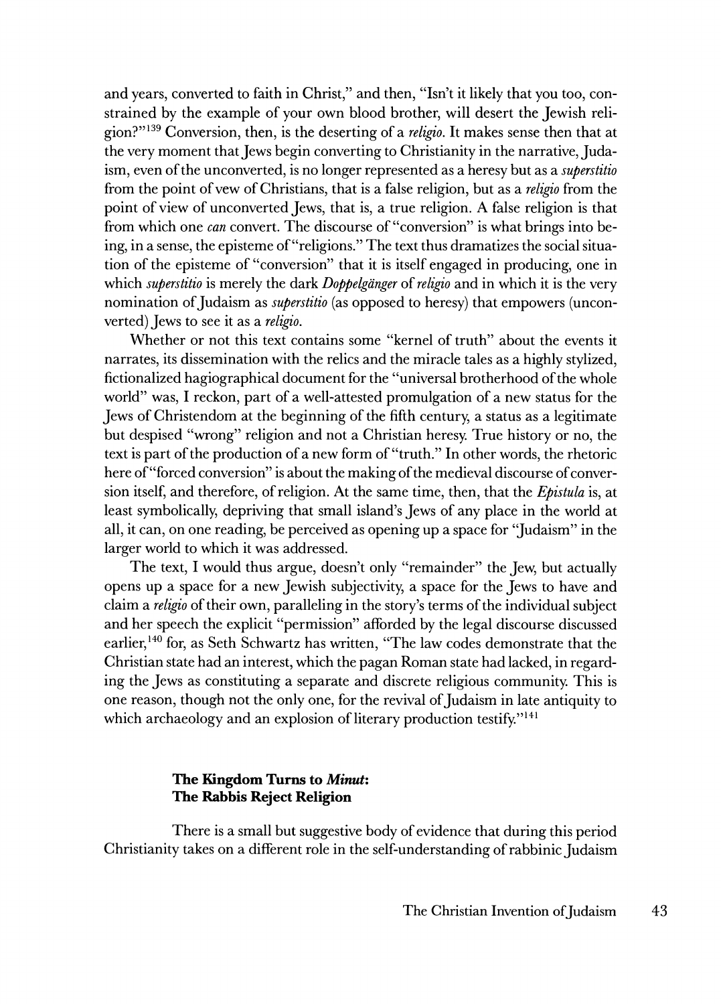**and years, converted to faith in Christ," and then, "Isn't it likely that you too, constrained by the example of your own blood brother, will desert the Jewish religion?"'39 Conversion, then, is the deserting of a religio. It makes sense then that at the very moment that Jews begin converting to Christianity in the narrative, Judaism, even of the unconverted, is no longer represented as a heresy but as a superstitio from the point of vew of Christians, that is a false religion, but as a religio from the point of view of unconverted Jews, that is, a true religion. A false religion is that from which one can convert. The discourse of "conversion" is what brings into being, in a sense, the episteme of "religions." The text thus dramatizes the social situation of the episteme of "conversion" that it is itself engaged in producing, one in**  which *superstitio* is merely the dark *Doppelganger* of *religio* and in which it is the very **nomination of Judaism as superstitio (as opposed to heresy) that empowers (unconverted) Jews to see it as a religio.** 

**Whether or not this text contains some "kernel of truth" about the events it narrates, its dissemination with the relics and the miracle tales as a highly stylized, fictionalized hagiographical document for the "universal brotherhood of the whole world" was, I reckon, part of a well-attested promulgation of a new status for the Jews of Christendom at the beginning of the fifth century, a status as a legitimate but despised "wrong" religion and not a Christian heresy. True history or no, the text is part of the production of a new form of "truth." In other words, the rhetoric here of "forced conversion" is about the making of the medieval discourse of conversion itself, and therefore, of religion. At the same time, then, that the Epistula is, at least symbolically, depriving that small island's Jews of any place in the world at all, it can, on one reading, be perceived as opening up a space for "Judaism" in the larger world to which it was addressed.** 

**The text, I would thus argue, doesn't only "remainder" the Jew, but actually opens up a space for a new Jewish subjectivity, a space for the Jews to have and claim a religio of their own, paralleling in the story's terms of the individual subject and her speech the explicit "permission" afforded by the legal discourse discussed earlier,'40 for, as Seth Schwartz has written, "The law codes demonstrate that the Christian state had an interest, which the pagan Roman state had lacked, in regarding the Jews as constituting a separate and discrete religious community. This is one reason, though not the only one, for the revival of Judaism in late antiquity to**  which archaeology and an explosion of literary production testify."<sup>141</sup>

### **The Kingdom Turns to Minut: The Rabbis Reject Religion**

**There is a small but suggestive body of evidence that during this period Christianity takes on a different role in the self-understanding of rabbinic Judaism**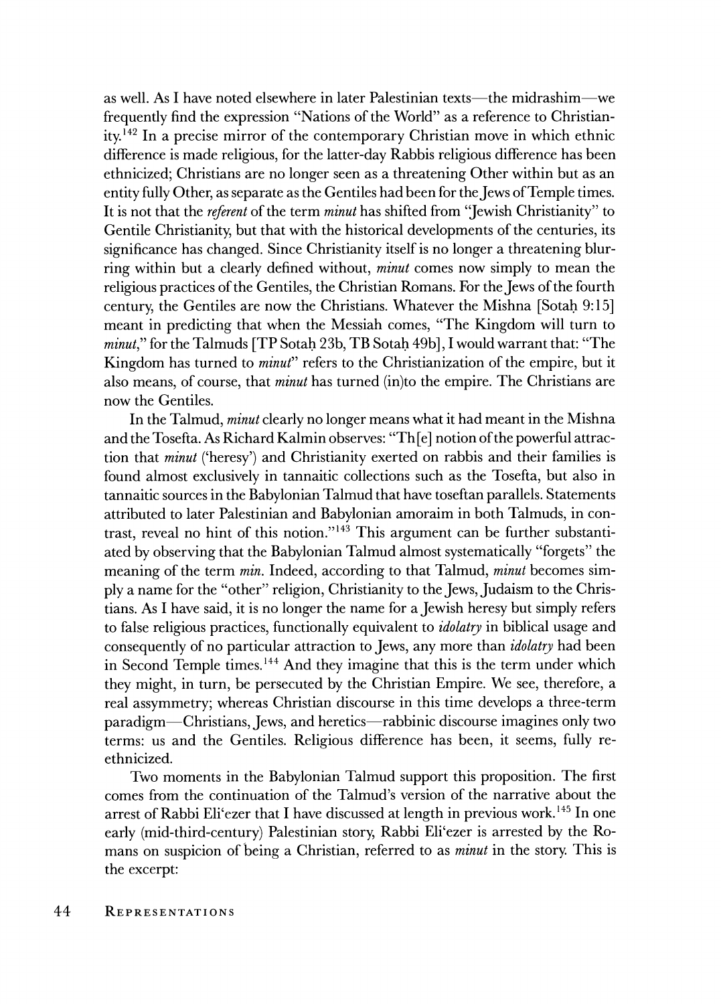**as well. As I have noted elsewhere in later Palestinian texts-the midrashim-we frequently find the expression "Nations of the World" as a reference to Christianity.142 In a precise mirror of the contemporary Christian move in which ethnic difference is made religious, for the latter-day Rabbis religious difference has been ethnicized; Christians are no longer seen as a threatening Other within but as an entity fully Other, as separate as the Gentiles had been for the Jews of Temple times. It is not that the referent of the term minut has shifted from "Jewish Christianity" to Gentile Christianity, but that with the historical developments of the centuries, its significance has changed. Since Christianity itself is no longer a threatening blurring within but a clearly defined without, minut comes now simply to mean the religious practices of the Gentiles, the Christian Romans. For the Jews of the fourth century, the Gentiles are now the Christians. Whatever the Mishna [Sotah 9:15] meant in predicting that when the Messiah comes, "The Kingdom will turn to minut," for the Talmuds [TP Sotah 23b, TB Sotah 49b], I would warrant that: "The Kingdom has turned to minut" refers to the Christianization of the empire, but it also means, of course, that minut has turned (in)to the empire. The Christians are now the Gentiles.** 

**In the Talmud, minut clearly no longer means what it had meant in the Mishna and the Tosefta. As Richard Kalmin observes: "Th[e] notion of the powerful attraction that minut ('heresy') and Christianity exerted on rabbis and their families is found almost exclusively in tannaitic collections such as the Tosefta, but also in tannaitic sources in the Babylonian Talmud that have toseftan parallels. Statements attributed to later Palestinian and Babylonian amoraim in both Talmuds, in contrast, reveal no hint of this notion." 43 This argument can be further substantiated by observing that the Babylonian Talmud almost systematically "forgets" the meaning of the term min. Indeed, according to that Talmud, minut becomes simply a name for the "other" religion, Christianity to the Jews, Judaism to the Christians. As I have said, it is no longer the name for a Jewish heresy but simply refers to false religious practices, functionally equivalent to idolatry in biblical usage and consequently of no particular attraction to Jews, any more than idolatry had been in Second Temple times.'44 And they imagine that this is the term under which they might, in turn, be persecuted by the Christian Empire. We see, therefore, a real assymmetry; whereas Christian discourse in this time develops a three-term paradigm-Christians, Jews, and heretics-rabbinic discourse imagines only two terms: us and the Gentiles. Religious difference has been, it seems, fully reethnicized.** 

**Two moments in the Babylonian Talmud support this proposition. The first comes from the continuation of the Talmud's version of the narrative about the arrest of Rabbi Eli'ezer that I have discussed at length in previous work.145 In one early (mid-third-century) Palestinian story, Rabbi Eli'ezer is arrested by the Romans on suspicion of being a Christian, referred to as minut in the story. This is the excerpt:**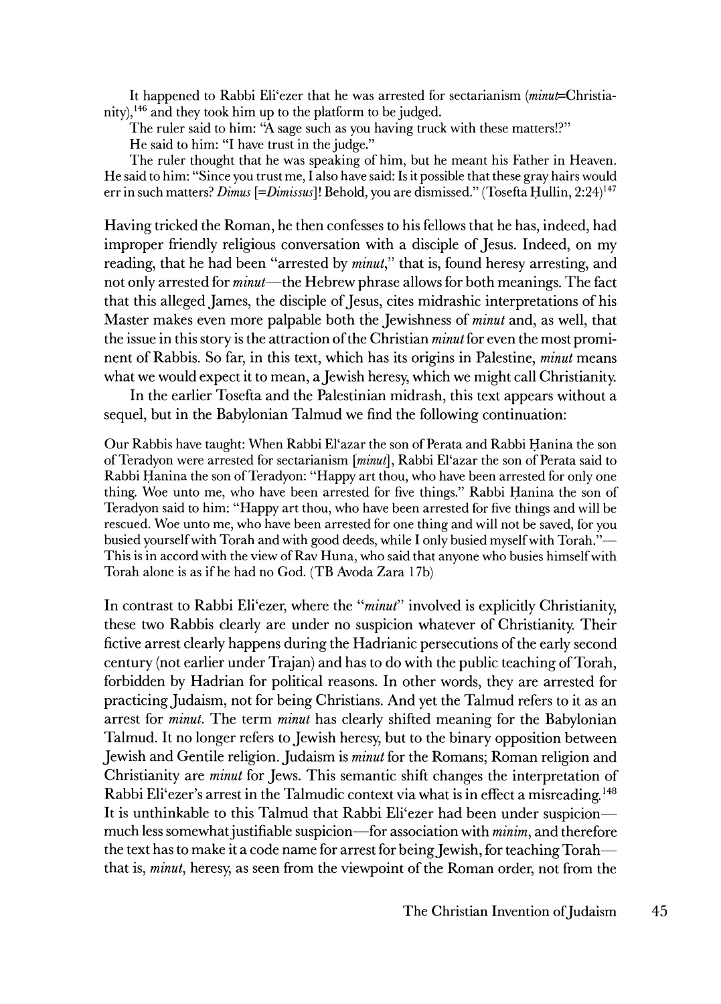**It happened to Rabbi Eli'ezer that he was arrested for sectarianism (minut=Christianity),'46 and they took him up to the platform to be judged.** 

**The ruler said to him: "A sage such as you having truck with these matters!?"** 

**He said to him: "I have trust in the judge."** 

**The ruler thought that he was speaking of him, but he meant his Father in Heaven. He said to him: "Since you trust me, I also have said: Is it possible that these gray hairs would err in such matters?** Dimus  $\left[=\frac{Dimissus}{B}\right]$ ! Behold, you are dismissed." (Tosefta Hullin, 2:24)<sup>147</sup>

**Having tricked the Roman, he then confesses to his fellows that he has, indeed, had improper friendly religious conversation with a disciple of Jesus. Indeed, on my reading, that he had been "arrested by minut," that is, found heresy arresting, and**  not only arrested for *minut*—the Hebrew phrase allows for both meanings. The fact **that this alleged James, the disciple of Jesus, cites midrashic interpretations of his Master makes even more palpable both the Jewishness of minut and, as well, that the issue in this story is the attraction of the Christian minut for even the most prominent of Rabbis. So far, in this text, which has its origins in Palestine, minut means**  what we would expect it to mean, a Jewish heresy, which we might call Christianity.

**In the earlier Tosefta and the Palestinian midrash, this text appears without a sequel, but in the Babylonian Talmud we find the following continuation:** 

Our Rabbis have taught: When Rabbi El'azar the son of Perata and Rabbi Hanina the son **of Teradyon were arrested for sectarianism [minut], Rabbi El'azar the son of Perata said to Rabbi Hanina the son of Teradyon: "Happy art thou, who have been arrested for only one thing. Woe unto me, who have been arrested for five things." Rabbi Hanina the son of Teradyon said to him: "Happy art thou, who have been arrested for five things and will be rescued. Woe unto me, who have been arrested for one thing and will not be saved, for you busied yourself with Torah and with good deeds, while I only busied myself with Torah." This is in accord with the view ofRav Huna, who said that anyone who busies himself with Torah alone is as if he had no God. (TB Avoda Zara 17b)** 

In contrast to Rabbi Eli'ezer, where the "minut" involved is explicitly Christianity, **these two Rabbis clearly are under no suspicion whatever of Christianity. Their fictive arrest clearly happens during the Hadrianic persecutions of the early second century (not earlier under Trajan) and has to do with the public teaching of Torah, forbidden by Hadrian for political reasons. In other words, they are arrested for practicing Judaism, not for being Christians. And yet the Talmud refers to it as an arrest for minut. The term minut has clearly shifted meaning for the Babylonian Talmud. It no longer refers to Jewish heresy, but to the binary opposition between Jewish and Gentile religion. Judaism is minut for the Romans; Roman religion and Christianity are minut for Jews. This semantic shift changes the interpretation of Rabbi Eli'ezer's arrest in the Talmudic context via what is in effect a misreading.148 It is unthinkable to this Talmud that Rabbi Eli'ezer had been under suspicion**much less somewhat justifiable suspicion-for association with *minim*, and therefore the text has to make it a code name for arrest for being Jewish, for teaching Torah **that is, minut, heresy, as seen from the viewpoint of the Roman order, not from the**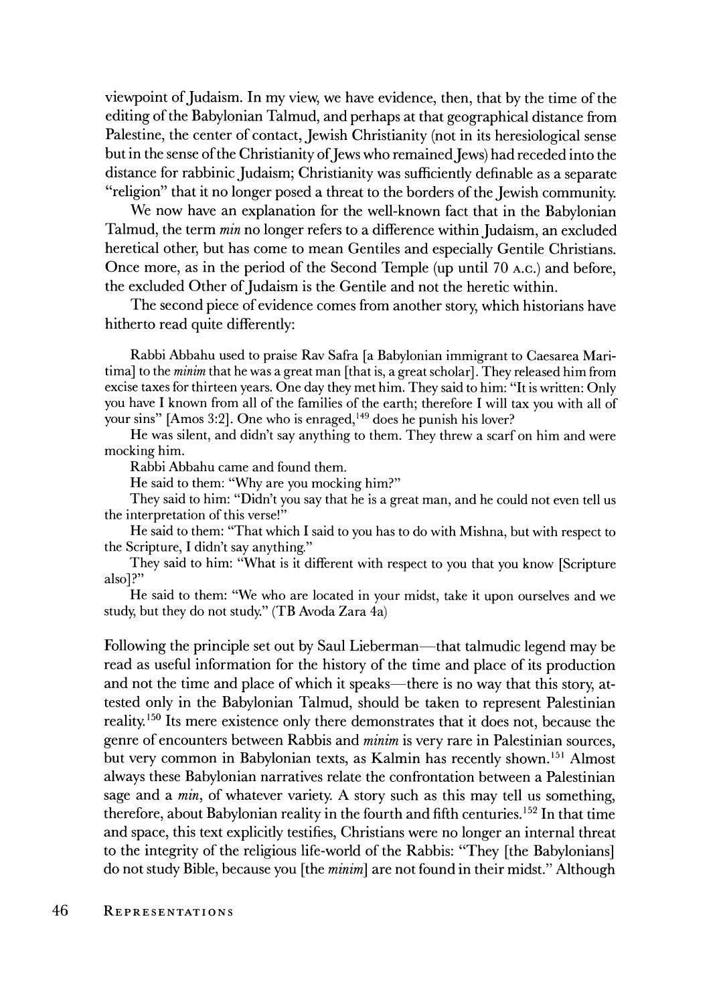**viewpoint of Judaism. In my view, we have evidence, then, that by the time of the editing of the Babylonian Talmud, and perhaps at that geographical distance from Palestine, the center of contact, Jewish Christianity (not in its heresiological sense**  but in the sense of the Christianity of Jews who remained Jews) had receded into the **distance for rabbinic Judaism; Christianity was sufficiently definable as a separate "religion" that it no longer posed a threat to the borders of the Jewish community.** 

**We now have an explanation for the well-known fact that in the Babylonian Talmud, the term min no longer refers to a difference within Judaism, an excluded heretical other, but has come to mean Gentiles and especially Gentile Christians. Once more, as in the period of the Second Temple (up until 70 A.c.) and before, the excluded Other of Judaism is the Gentile and not the heretic within.** 

**The second piece of evidence comes from another story, which historians have hitherto read quite differently:** 

**Rabbi Abbahu used to praise Rav Safra [a Babylonian immigrant to Caesarea Maritima] to the minim that he was a great man [that is, a great scholar]. They released him from excise taxes for thirteen years. One day they met him. They said to him: "It is written: Only you have I known from all of the families of the earth; therefore I will tax you with all of your sins" [Amos 3:2]. One who is enraged,'49 does he punish his lover?** 

**He was silent, and didn't say anything to them. They threw a scarf on him and were mocking him.** 

**Rabbi Abbahu came and found them.** 

**He said to them: "Why are you mocking him?"** 

**They said to him: "Didn't you say that he is a great man, and he could not even tell us the interpretation of this verse!"** 

**He said to them: "That which I said to you has to do with Mishna, but with respect to the Scripture, I didn't say anything."** 

**They said to him: "What is it different with respect to you that you know [Scripture also]?"** 

**He said to them: "We who are located in your midst, take it upon ourselves and we study, but they do not study." (TB Avoda Zara 4a)** 

Following the principle set out by Saul Lieberman—that talmudic legend may be **read as useful information for the history of the time and place of its production**  and not the time and place of which it speaks—there is no way that this story, at**tested only in the Babylonian Talmud, should be taken to represent Palestinian reality.'50 Its mere existence only there demonstrates that it does not, because the genre of encounters between Rabbis and minim is very rare in Palestinian sources, but very common in Babylonian texts, as Kalmin has recently shown.'51 Almost always these Babylonian narratives relate the confrontation between a Palestinian sage and a min, of whatever variety. A story such as this may tell us something, therefore, about Babylonian reality in the fourth and fifth centuries.'52 In that time and space, this text explicitly testifies, Christians were no longer an internal threat to the integrity of the religious life-world of the Rabbis: "They [the Babylonians] do not study Bible, because you [the minim] are not found in their midst." Although**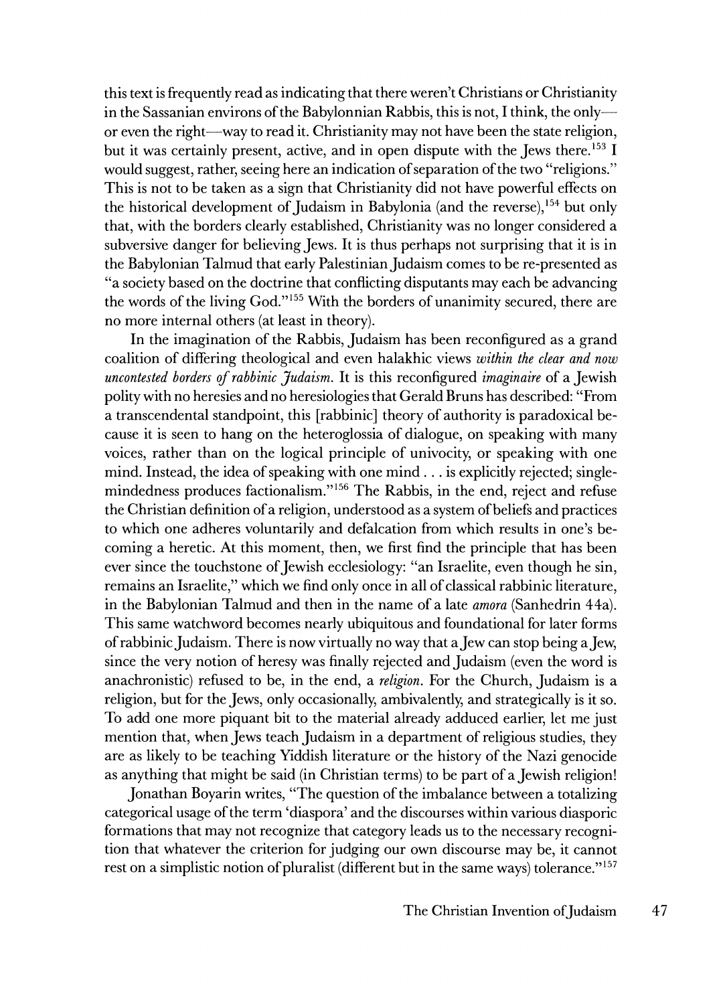**this text is frequently read as indicating that there weren't Christians or Christianity in the Sassanian environs of the Babylonnian Rabbis, this is not, I think, the onlyor even the right-way to read it. Christianity may not have been the state religion, but it was certainly present, active, and in open dispute with the Jews there.'53 I would suggest, rather, seeing here an indication of separation of the two "religions." This is not to be taken as a sign that Christianity did not have powerful effects on**  the historical development of Judaism in Babylonia (and the reverse), <sup>154</sup> but only **that, with the borders clearly established, Christianity was no longer considered a**  subversive danger for believing Jews. It is thus perhaps not surprising that it is in **the Babylonian Talmud that early Palestinian Judaism comes to be re-presented as "a society based on the doctrine that conflicting disputants may each be advancing the words of the living God."'55 With the borders of unanimity secured, there are no more internal others (at least in theory).** 

**In the imagination of the Rabbis, Judaism has been reconfigured as a grand coalition of differing theological and even halakhic views within the clear and now uncontested borders of rabbinic Judaism. It is this reconfigured imaginaire of a Jewish polity with no heresies and no heresiologies that Gerald Bruns has described: "From a transcendental standpoint, this [rabbinic] theory of authority is paradoxical because it is seen to hang on the heteroglossia of dialogue, on speaking with many voices, rather than on the logical principle of univocity, or speaking with one mind. Instead, the idea of speaking with one mind ... is explicitly rejected; singlemindedness produces factionalism."'56 The Rabbis, in the end, reject and refuse the Christian definition of a religion, understood as a system of beliefs and practices to which one adheres voluntarily and defalcation from which results in one's becoming a heretic. At this moment, then, we first find the principle that has been**  ever since the touchstone of Jewish ecclesiology: "an Israelite, even though he sin, **remains an Israelite," which we find only once in all of classical rabbinic literature, in the Babylonian Talmud and then in the name of a late amora (Sanhedrin 44a). This same watchword becomes nearly ubiquitous and foundational for later forms of rabbinic Judaism. There is now virtually no way that a Jew can stop being a Jew, since the very notion of heresy was finally rejected and Judaism (even the word is anachronistic) refused to be, in the end, a religion. For the Church, Judaism is a religion, but for the Jews, only occasionally, ambivalently, and strategically is it so. To add one more piquant bit to the material already adduced earlier, let me just mention that, when Jews teach Judaism in a department of religious studies, they are as likely to be teaching Yiddish literature or the history of the Nazi genocide as anything that might be said (in Christian terms) to be part of a Jewish religion!** 

**Jonathan Boyarin writes, "The question of the imbalance between a totalizing categorical usage of the term 'diaspora' and the discourses within various diasporic formations that may not recognize that category leads us to the necessary recognition that whatever the criterion for judging our own discourse may be, it cannot rest on a simplistic notion of pluralist (different but in the same ways) tolerance."'57**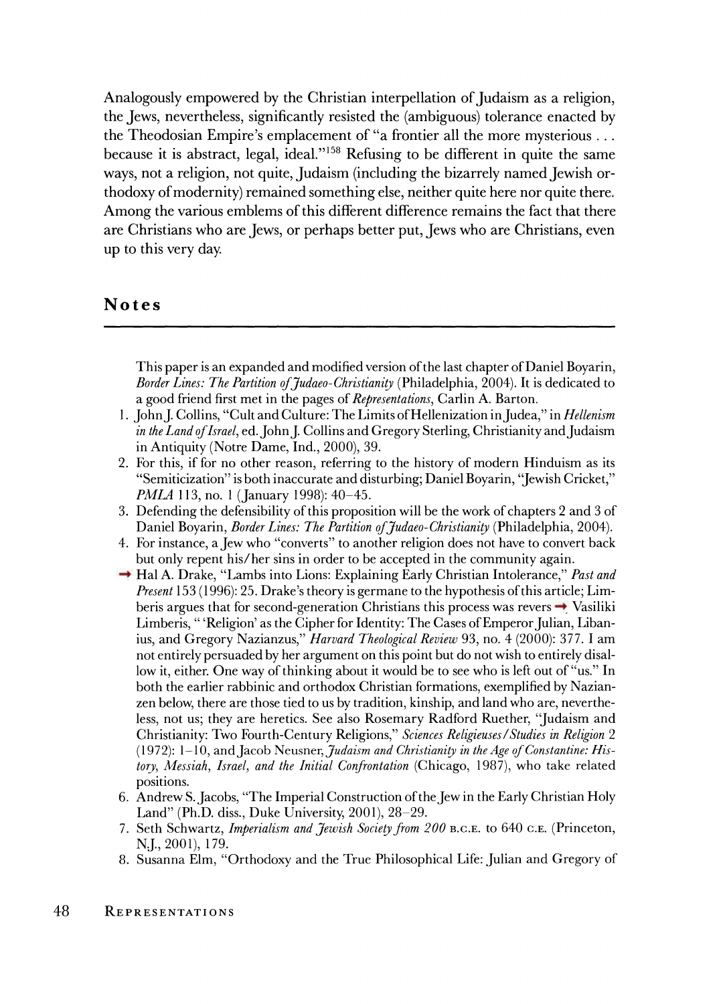**Analogously empowered by the Christian interpellation of Judaism as a religion, the Jews, nevertheless, significantly resisted the (ambiguous) tolerance enacted by the Theodosian Empire's emplacement of "a frontier all the more mysterious ... because it is abstract, legal, ideal."'58 Refusing to be different in quite the same ways, not a religion, not quite, Judaism (including the bizarrely named Jewish orthodoxy of modernity) remained something else, neither quite here nor quite there. Among the various emblems of this different difference remains the fact that there are Christians who are Jews, or perhaps better put, Jews who are Christians, even up to this very day.** 

# **Notes**

**This paper is an expanded and modified version of the last chapter of Daniel Boyarin, Border Lines: The Partition of Judaeo-Christianity (Philadelphia, 2004). It is dedicated to a good friend first met in the pages of Representations, Carlin A. Barton.** 

- **1. JohnJ. Collins, "Cult and Culture: The Limits ofHellenization inJudea," in Hellenism**  in the Land of Israel, ed. John J. Collins and Gregory Sterling, Christianity and Judaism **in Antiquity (Notre Dame, Ind., 2000), 39.**
- **2. For this, if for no other reason, referring to the history of modern Hinduism as its "Semiticization" is both inaccurate and disturbing; Daniel Boyarin, 'Jewish Cricket," PMLA 113, no. 1 (January 1998): 40-45.**
- **3. Defending the defensibility of this proposition will be the work of chapters 2 and 3 of**  Daniel Boyarin, *Border Lines: The Partition of Judaeo-Christianity* (Philadelphia, 2004).
- **4. For instance, a Jew who "converts" to another religion does not have to convert back but only repent his/her sins in order to be accepted in the community again.**
- **5. Hal A. Drake, "Lambs into Lions: Explaining Early Christian Intolerance," Past and Present 153 (1996): 25. Drake's theory is germane to the hypothesis of this article; Lim**beris argues that for second-generation Christians this process was revers  $\rightarrow$  Vasiliki Limberis, "'Religion' as the Cipher for Identity: The Cases of Emperor Julian, Liban**ius, and Gregory Nazianzus," Harvard Theological Review 93, no. 4 (2000): 377. I am not entirely persuaded by her argument on this point but do not wish to entirely disallow it, either. One way of thinking about it would be to see who is left out of "us." In both the earlier rabbinic and orthodox Christian formations, exemplified by Nazianzen below, there are those tied to us by tradition, kinship, and land who are, nevertheless, not us; they are heretics. See also Rosemary Radford Ruether, 'Judaism and Christianity: Two Fourth-Century Religions," Sciences Religieuses/Studies in Religion 2 (1972): 1-10, and Jacob Neusner, Judaism and Christianity in the Age of Constantine: History, Messiah, Israel, and the Initial Confrontation (Chicago, 1987), who take related positions.**
- **6. Andrew S. Jacobs, "The Imperial Construction of the Jew in the Early Christian Holy Land" (Ph.D. diss., Duke University, 2001), 28-29.**
- **7. Seth Schwartz, Imperialism and Jewish Society from 200 B.C.E. to 640 C.E. (Princeton, NJ., 2001), 179.**
- **8. Susanna Elm, "Orthodoxy and the True Philosophical Life: Julian and Gregory of**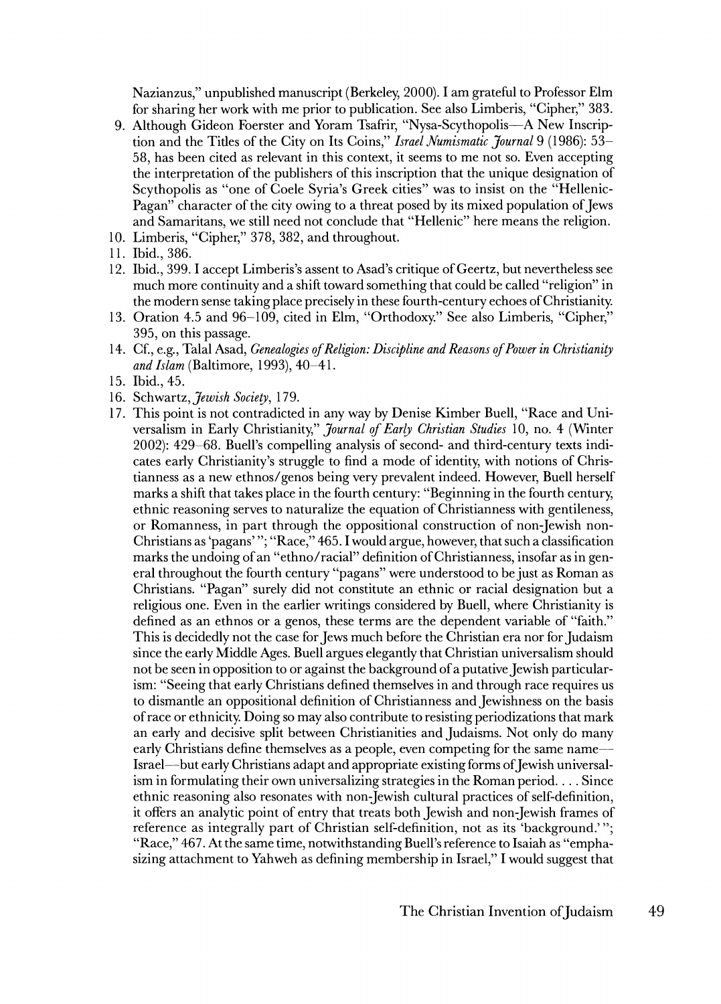**Nazianzus," unpublished manuscript (Berkeley, 2000). I am grateful to Professor Elm for sharing her work with me prior to publication. See also Limberis, "Cipher," 383.** 

- **9. Although Gideon Foerster and Yoram Tsafrir, "Nysa-Scythopolis-A New Inscription and the Tites of the City on Its Coins," Israel Numismatic Journal 9 (1986): 53- 58, has been cited as relevant in this context, it seems to me not so. Even accepting the interpretation of the publishers of this inscription that the unique designation of Scythopolis as "one of Coele Syria's Greek cities" was to insist on the "Hellenic-Pagan" character of the city owing to a threat posed by its mixed population of Jews and Samaritans, we still need not conclude that "Hellenic" here means the religion.**
- **10. Limberis, "Cipher," 378, 382, and throughout.**
- **11. Ibid., 386.**
- **12. Ibid., 399. I accept Limberis's assent to Asad's critique of Geertz, but nevertheless see much more continuity and a shift toward something that could be called "religion" in the modern sense taking place precisely in these fourth-century echoes of Christianity.**
- **13. Oration 4.5 and 96-109, cited in Elm, "Orthodoxy." See also Limberis, "Cipher," 395, on this passage.**
- **14. Cf., e.g., Talal Asad, Genealogies of Religion: Discipline and Reasons of Power in Christianity and Islam (Baltimore, 1993), 40-41.**
- **15. Ibid., 45.**
- **16. Schwartz, Jewish Society, 179.**
- **17. This point is not contradicted in any way by Denise Kimber Buell, "Race and Universalism in Early Christianity," Journal of Early Christian Studies 10, no. 4 (Winter 2002): 429-68. Buell's compelling analysis of second- and third-century texts indicates early Christianity's struggle to find a mode of identity, with notions of Christianness as a new ethnos/genos being very prevalent indeed. However, Buell herself marks a shift that takes place in the fourth century: "Beginning in the fourth century, ethnic reasoning serves to naturalize the equation of Christianness with gentileness, or Romanness, in part through the oppositional construction of non-Jewish non-Christians as 'pagans' ; "Race," 465. I would argue, however, that such a classification marks the undoing of an "ethno/racial" definition of Christianness, insofar as in general throughout the fourth century "pagans" were understood to be just as Roman as Christians. "Pagan" surely did not constitute an ethnic or racial designation but a religious one. Even in the earlier writings considered by Buell, where Christianity is defined as an ethnos or a genos, these terms are the dependent variable of "faith."**  This is decidedly not the case for Jews much before the Christian era nor for Judaism **since the early Middle Ages. Buell argues elegantly that Christian universalism should not be seen in opposition to or against the background of a putative Jewish particularism: "Seeing that early Christians defined themselves in and through race requires us to dismantle an oppositional definition of Christianness and Jewishness on the basis of race or ethnicity. Doing so may also contribute to resisting periodizations that mark an early and decisive split between Christianities and Judaisms. Not only do many early Christians define themselves as a people, even competing for the same name-Israel-but early Christians adapt and appropriate existing forms ofJewish universalism in formulating their own universalizing strategies in the Roman period.... Since ethnic reasoning also resonates with non-Jewish cultural practices of self-definition, it offers an analytic point of entry that treats both Jewish and non-Jewish frames of reference as integrally part of Christian self-definition, not as its 'background.'"; "Race," 467. At the same time, notwithstanding Buell's reference to Isaiah as "emphasizing attachment to Yahweh as defining membership in Israel," I would suggest that**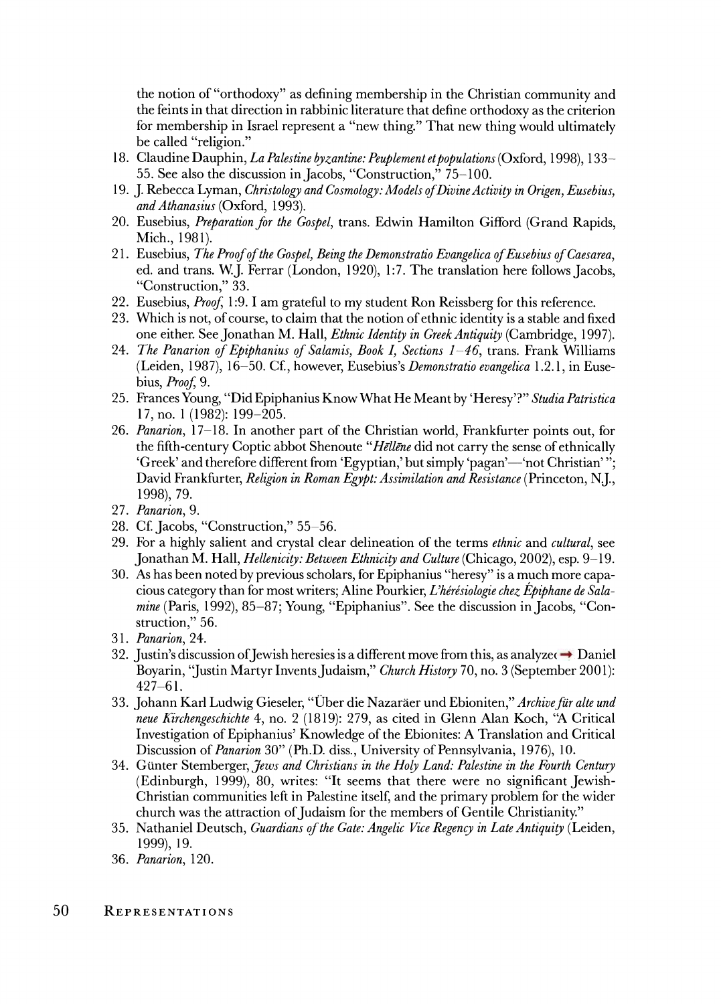**the notion of"orthodoxy" as defining membership in the Christian community and the feints in that direction in rabbinic literature that define orthodoxy as the criterion for membership in Israel represent a "new thing." That new thing would ultimately be called "religion."** 

- **18. Claudine Dauphin, La Palestine byzantine: Peuplement etpopulations (Oxford, 1998), 133- 55. See also the discussion in Jacobs, "Construction," 75-100.**
- **19. J. Rebecca Lyman, Christology and Cosmology: Models ofDivineActivity in Origen, Eusebius, and Athanasius (Oxford, 1993).**
- **20. Eusebius, Preparation for the Gospel, trans. Edwin Hamilton Gifford (Grand Rapids, Mich., 1981).**
- **21. Eusebius, The Proof of the Gospel, Being the Demonstratio Evangelica of Eusebius of Caesarea, ed. and trans. W.J. Ferrar (London, 1920), 1:7. The translation here follows Jacobs, "Construction," 33.**
- **22. Eusebius, Proof, 1:9. I am grateful to my student Ron Reissberg for this reference.**
- **23. Which is not, of course, to claim that the notion of ethnic identity is a stable and fixed one either. See Jonathan M. Hall, Ethnic Identity in Greek Antiquity (Cambridge, 1997).**
- **24. The Panarion of Epiphanius of Salamis, Book I, Sections 1-46, trans. Frank Williams (Leiden, 1987), 16-50. Cf., however, Eusebius's Demonstratio evangelica 1.2.1, in Eusebius, Proof, 9.**
- **25. Frances Young, "Did Epiphanius Know What He Meant by 'Heresy'?" Studia Patristica 17, no. 1(1982): 199-205.**
- **26. Panarion, 17-18. In another part of the Christian world, Frankfurter points out, for**  the fifth-century Coptic abbot Shenoute "Hellene did not carry the sense of ethnically 'Greek' and therefore different from 'Egyptian,' but simply 'pagan'—'not Christian'"; David Frankfurter, *Religion in Roman Egypt: Assimilation and Resistance* (Princeton, N.J., **1998), 79.**
- **27. Panarion, 9.**
- **28. Cf. Jacobs, "Construction," 55-56.**
- **29. For a highly salient and crystal clear delineation of the terms ethnic and cultural, see Jonathan M. Hall, Hellenicity: Between Ethnicity and Culture (Chicago, 2002), esp. 9-19.**
- **30. As has been noted by previous scholars, for Epiphanius "heresy" is a much more capa**cious category than for most writers; Aline Pourkier, L'hérésiologie chez Épiphane de Sala**mine (Paris, 1992), 85-87; Young, "Epiphanius". See the discussion in Jacobs, "Construction," 56.**
- **31. Panarion, 24.**
- 32. Justin's discussion of Jewish heresies is a different move from this, as analyzed  $\rightarrow$  Daniel **Boyarin, "Justin Martyr InventsJudaism," Church History 70, no. 3 (September 2001): 427-61.**
- **33. Johann Karl Ludwig Gieseler, "Uber die Nazaraer und Ebioniten," Archivefiir alte und neue Kirchengeschichte 4, no. 2 (1819): 279, as cited in Glenn Alan Koch, "A Critical Investigation of Epiphanius' Knowledge of the Ebionites: A Translation and Critical Discussion of Panarion 30" (Ph.D. diss., University of Pennsylvania, 1976), 10.**
- **34. Gunter Stemberger, Jews and Christians in the Holy Land: Palestine in the Fourth Century (Edinburgh, 1999), 80, writes: "It seems that there were no significant Jewish-Christian communities left in Palestine itself, and the primary problem for the wider church was the attraction of Judaism for the members of Gentile Christianity."**
- **35. Nathaniel Deutsch, Guardians of the Gate: Angelic Vice Regency in Late Antiquity (Leiden, 1999), 19.**
- **36. Panarion, 120.**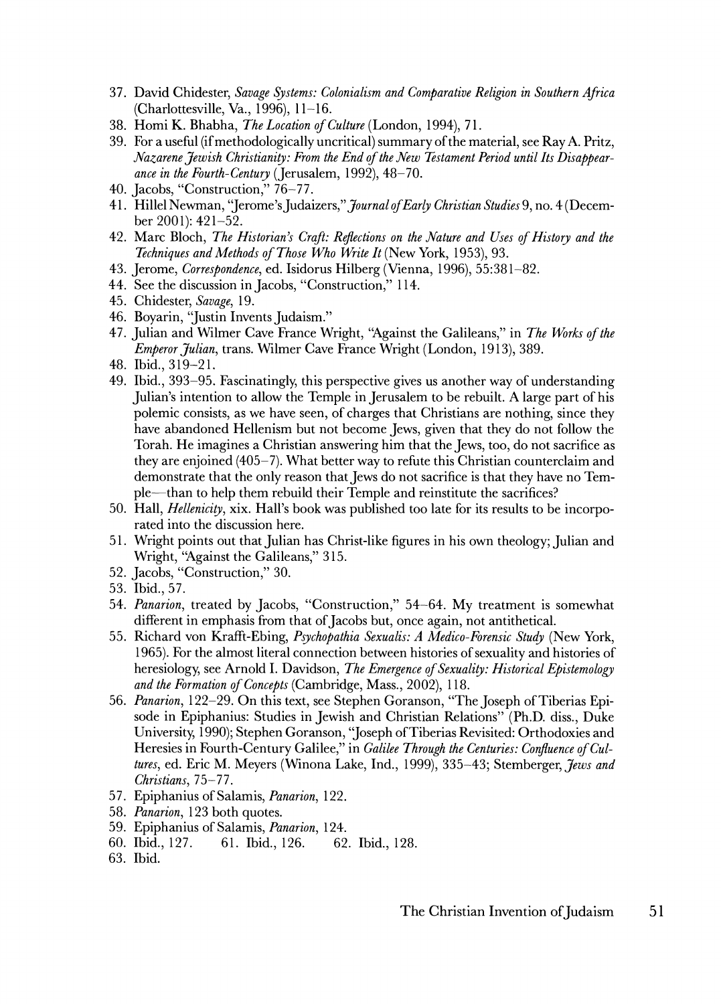- **37. David Chidester, Savage Systems: Colonialism and Comparative Religion in Southern Africa (Charlottesville, Va., 1996), 11-16.**
- **38. Homi K. Bhabha, The Location of Culture (London, 1994), 71.**
- **39. For a useful (ifmethodologically uncritical) summary of the material, see Ray A. Pritz, Nazarene Jewish Christianity: From the End of the New Testament Period until Its Disappear**ance in the Fourth-Century (Jerusalem, 1992), 48-70.
- **40. Jacobs, "Construction," 76-77.**
- 41. Hillel Newman, "Jerome's Judaizers," *Journal of Early Christian Studies* 9, no. 4 (Decem**ber 2001): 421-52.**
- **42. Marc Bloch, The Historian's Craft: Reflections on the Nature and Uses of History and the Techniques and Methods of Those Who Write It (New York, 1953), 93.**
- **43. Jerome, Correspondence, ed. Isidorus Hilberg (Vienna, 1996), 55:381-82.**
- **44. See the discussion in Jacobs, "Construction," 114.**
- **45. Chidester, Savage, 19.**
- **46. Boyarin, "Justin Invents Judaism."**
- **47. Julian and Wilmer Cave France Wright, "Against the Galileans," in The Works of the Emperor Julian, trans. Wilmer Cave France Wright (London, 1913), 389.**
- **48. Ibid., 319-21.**
- **49. Ibid., 393-95. Fascinatingly, this perspective gives us another way of understanding Julian's intention to allow the Temple in Jerusalem to be rebuilt. A large part of his polemic consists, as we have seen, of charges that Christians are nothing, since they have abandoned Hellenism but not become Jews, given that they do not follow the Torah. He imagines a Christian answering him that the Jews, too, do not sacrifice as they are enjoined (405-7). What better way to refute this Christian counterclaim and demonstrate that the only reason that Jews do not sacrifice is that they have no Temple-than to help them rebuild their Temple and reinstitute the sacrifices?**
- **50. Hall, Hellenicity, xix. Hall's book was published too late for its results to be incorporated into the discussion here.**
- **51. Wright points out that Julian has Christ-like figures in his own theology; Julian and Wright, "Against the Galileans," 315.**
- **52. Jacobs, "Construction," 30.**
- **53. Ibid., 57.**
- **54. Panarion, treated by Jacobs, "Construction," 54-64. My treatment is somewhat**  different in emphasis from that of Jacobs but, once again, not antithetical.
- **55. Richard von Krafft-Ebing, Psychopathia Sexualis: A Medico-Forensic Study (New York, 1965). For the almost literal connection between histories of sexuality and histories of**  heresiology, see Arnold I. Davidson, *The Emergence of Sexuality: Historical Epistemology* **and the Formation of Concepts (Cambridge, Mass., 2002), 118.**
- **56. Panarion, 122-29. On this text, see Stephen Goranson, "The Joseph of Tiberias Episode in Epiphanius: Studies in Jewish and Christian Relations" (Ph.D. diss., Duke University, 1990); Stephen Goranson, "Joseph ofTiberias Revisited: Orthodoxies and**  Heresies in Fourth-Century Galilee," in Galilee Through the Centuries: Confluence of Cul**tures, ed. Eric M. Meyers (Winona Lake, Ind., 1999), 335-43; Stemberger, Jews and Christians, 75-77.**
- **57. Epiphanius of Salamis, Panarion, 122.**
- **58. Panarion, 123 both quotes.**
- 
- **59. Epiphanius of Salamis, Panarion, 124. 60. Ibid., 127. 61. Ibid., 126. 62. Ibid., 128.**
- **63. Ibid.**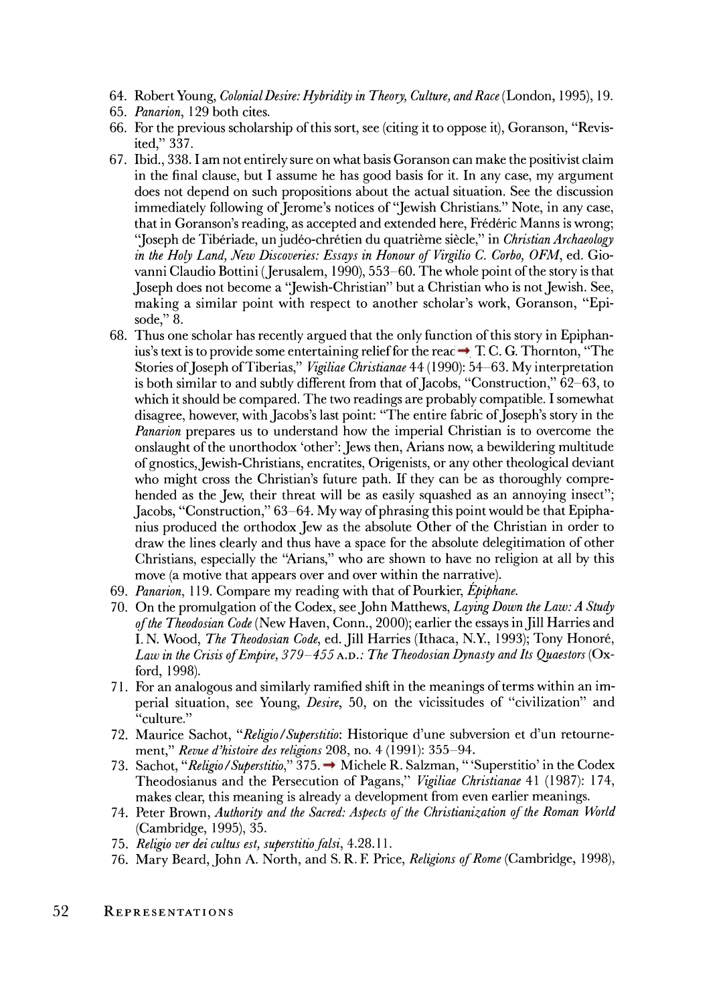- **64. Robert Young, ColonialDesire: Hybridity in Theory, Culture, and Race (London, 1995), 19.**
- **65. Panarion, 129 both cites.**
- **66. For the previous scholarship of this sort, see (citing it to oppose it), Goranson, "Revisited," 337.**
- **67. Ibid., 338. I am not entirely sure on what basis Goranson can make the positivist claim in the final clause, but I assume he has good basis for it. In any case, my argument does not depend on such propositions about the actual situation. See the discussion**  immediately following of Jerome's notices of "Jewish Christians." Note, in any case, that in Goranson's reading, as accepted and extended here, Frédéric Manns is wrong; "Joseph de Tibériade, un judéo-chrétien du quatrième siècle," in Christian Archaeology **in the Holy Land, New Discoveries: Essays in Honour of Virgilio C. Corbo, OFM, ed. Giovanni Claudio Bottini (Jerusalem, 1990), 553-60. The whole point of the story is that Joseph does not become a 'Jewish-Christian" but a Christian who is not Jewish. See, making a similar point with respect to another scholar's work, Goranson, "Episode," 8.**
- **68. Thus one scholar has recently argued that the only function of this story in Epiphan**ius's text is to provide some entertaining relief for the read  $\rightarrow$  T. C. G. Thornton, "The Stories of Joseph of Tiberias," *Vigiliae Christianae* 44 (1990): 54–63. My interpretation is both similar to and subtly different from that of Jacobs, "Construction," 62–63, to **which it should be compared. The two readings are probably compatible. I somewhat disagree, however, with Jacobs's last point: "The entire fabric ofJoseph's story in the Panarion prepares us to understand how the imperial Christian is to overcome the onslaught of the unorthodox 'other': Jews then, Arians now, a bewildering multitude of gnostics,Jewish-Christians, encratites, Origenists, or any other theological deviant who might cross the Christian's future path. If they can be as thoroughly comprehended as the Jew, their threat will be as easily squashed as an annoying insect"; Jacobs, "Construction," 63-64. My way of phrasing this point would be that Epiphanius produced the orthodox Jew as the absolute Other of the Christian in order to draw the lines clearly and thus have a space for the absolute delegitimation of other Christians, especially the "Arians," who are shown to have no religion at all by this move (a motive that appears over and over within the narrative).**
- 69. Panarion, 119. Compare my reading with that of Pourkier, *Epiphane*.
- **70. On the promulgation of the Codex, see John Matthews, Laying Down the Law: A Study of the Theodosian Code (New Haven, Conn., 2000); earlier the essays in Jill Harries and I. N. Wood, The Theodosian Code, ed. Jill Harries (Ithaca, N.Y, 1993); Tony Honore, Law in the Crisis of Empire, 379-455 A.D.: The Theodosian Dynasty and Its Quaestors (Oxford, 1998).**
- **71. For an analogous and similarly ramified shift in the meanings of terms within an imperial situation, see Young, Desire, 50, on the vicissitudes of "civilization" and "culture."**
- **72. Maurice Sachot, "Religio/Superstitio: Historique d'une subversion et d'un retournement," Revue d'histoire des religions 208, no. 4 (1991): 355-94.**
- 73. Sachot, "Religio/Superstitio," 375.  $\rightarrow$  Michele R. Salzman, "'Superstitio' in the Codex **Theodosianus and the Persecution of Pagans," Vigiliae Christianae 41 (1987): 174, makes clear, this meaning is already a development from even earlier meanings.**
- **74. Peter Brown, Authority and the Sacred: Aspects of the Christianization of the Roman World (Cambridge, 1995), 35.**
- 75. Religio ver dei cultus est, superstitio falsi, 4.28.11.
- 76. Mary Beard, John A. North, and S. R. F. Price, Religions of Rome (Cambridge, 1998),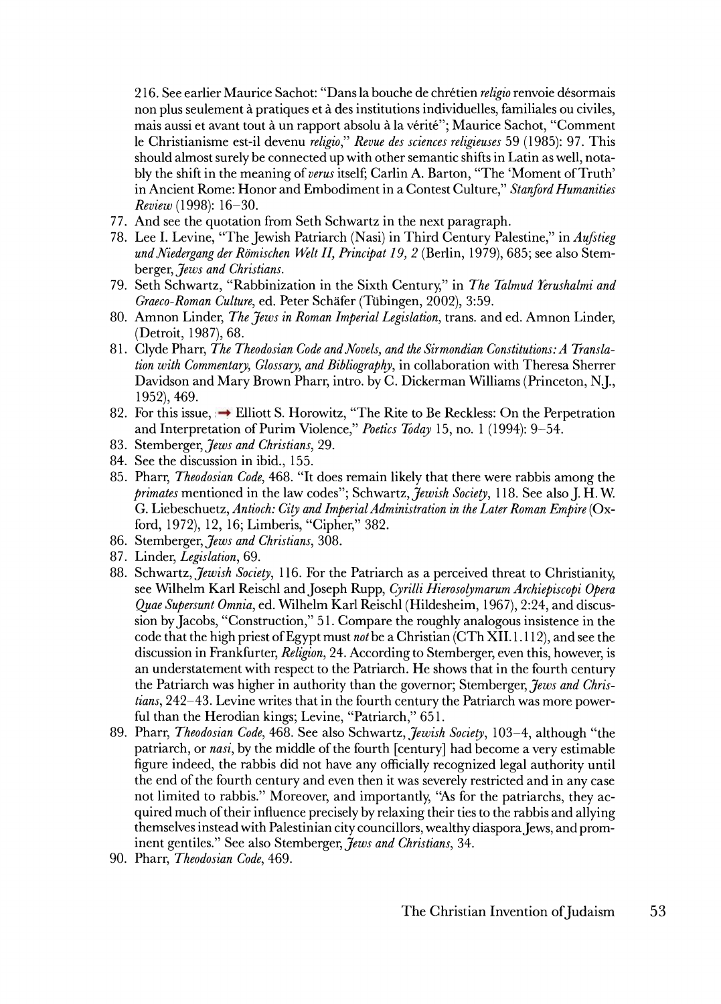**216. See earlier Maurice Sachot: "Dans la bouche de chretien religio renvoie desormais non plus seulement a pratiques et a des institutions individuelles, familiales ou civiles,**  mais aussi et avant tout à un rapport absolu à la vérité"; Maurice Sachot, "Comment **le Christianisme est-il devenu religio," Revue des sciences religieuses 59 (1985): 97. This should almost surely be connected up with other semantic shifts in Latin as well, notably the shift in the meaning of verus itself; Carlin A. Barton, "The 'Moment of Truth' in Ancient Rome: Honor and Embodiment in a Contest Culture," Stanford Humanities Review (1998): 16-30.** 

- **77. And see the quotation from Seth Schwartz in the next paragraph.**
- **78. Lee I. Levine, "The Jewish Patriarch (Nasi) in Third Century Palestine," in Aufstieg**  und Niedergang der Römischen Welt II, Principat 19, 2 (Berlin, 1979), 685; see also Stem**berger, Jews and Christians.**
- **79. Seth Schwartz, "Rabbinization in the Sixth Century," in The Talmud Yerushalmi and Graeco-Roman Culture, ed. Peter Schafer (Ttibingen, 2002), 3:59.**
- **80. Amnon Linder, The Jews in Roman Imperial Legislation, trans. and ed. Amnon Linder, (Detroit, 1987), 68.**
- **81. Clyde Pharr, The Theodosian Code and Novels, and the Sirmondian Constitutions: A Translation with Commentary, Glossary, and Bibliography, in collaboration with Theresa Sherrer**  Davidson and Mary Brown Pharr, intro. by C. Dickerman Williams (Princeton, N.J., **1952), 469.**
- 82. For this issue,  $\rightarrow$  Elliott S. Horowitz, "The Rite to Be Reckless: On the Perpetration **and Interpretation of Purim Violence," Poetics Today 15, no. 1 (1994): 9-54.**
- **83. Stemberger, Jews and Christians, 29.**
- **84. See the discussion in ibid., 155.**
- **85. Pharr, Theodosian Code, 468. "It does remain likely that there were rabbis among the primates mentioned in the law codes"; Schwartz, Jewish Society, 118. See also J. H. W. G. Liebeschuetz, Antioch: City and Imperial Administration in the Later Roman Empire (Oxford, 1972), 12, 16; Limberis, "Cipher," 382.**
- **86. Stemberger, Jews and Christians, 308.**
- **87. Linder, Legislation, 69.**
- **88. Schwartz, Jewish Society, 116. For the Patriarch as a perceived threat to Christianity, see Wilhelm Karl Reischl and Joseph Rupp, Cyrilli Hierosolymarum Archiepiscopi Opera Quae Supersunt Omnia, ed. Wilhelm Karl Reischl (Hildesheim, 1967), 2:24, and discussion byJacobs, "Construction," 51. Compare the roughly analogous insistence in the code that the high priest of Egypt must not be a Christian (CTh XII. 1.112), and see the discussion in Frankfurter, Religion, 24. According to Stemberger, even this, however, is an understatement with respect to the Patriarch. He shows that in the fourth century**  the Patriarch was higher in authority than the governor; Stemberger, *Jews and Chris***tians, 242-43. Levine writes that in the fourth century the Patriarch was more powerful than the Herodian kings; Levine, "Patriarch," 651.**
- 89. Pharr, *Theodosian Code*, 468. See also Schwartz, *Jewish Society*, 103–4, although "the **patriarch, or nasi, by the middle of the fourth [century] had become a very estimable figure indeed, the rabbis did not have any officially recognized legal authority until the end of the fourth century and even then it was severely restricted and in any case not limited to rabbis." Moreover, and importantly, "As for the patriarchs, they acquired much of their influence precisely by relaxing their ties to the rabbis and allying**  themselves instead with Palestinian city councillors, wealthy diaspora Jews, and prom**inent gentiles." See also Stemberger, Jews and Christians, 34.**
- **90. Pharr, Theodosian Code, 469.**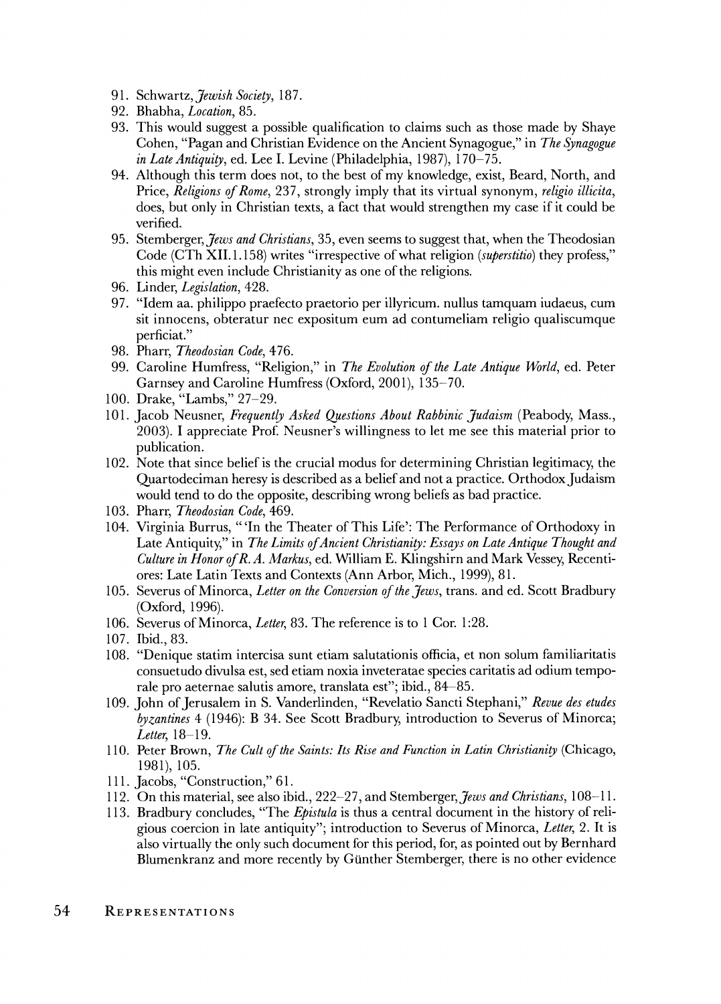- **91. Schwartz, Jewish Society, 187.**
- **92. Bhabha, Location, 85.**
- **93. This would suggest a possible qualification to claims such as those made by Shaye Cohen, "Pagan and Christian Evidence on the Ancient Synagogue," in The Synagogue in Late Antiquity, ed. Lee I. Levine (Philadelphia, 1987), 170-75.**
- **94. Although this term does not, to the best of my knowledge, exist, Beard, North, and Price, Religions of Rome, 237, strongly imply that its virtual synonym, religio illicita, does, but only in Christian texts, a fact that would strengthen my case if it could be verified.**
- **95. Stemberger, Jews and Christians, 35, even seems to suggest that, when the Theodosian Code (CTh XII. 1.158) writes "irrespective of what religion (superstitio) they profess," this might even include Christianity as one of the religions.**
- **96. Linder, Legislation, 428.**
- **97. "Idem aa. philippo praefecto praetorio per illyricum. nullus tamquam iudaeus, cum sit innocens, obteratur nec expositum eum ad contumeliam religio qualiscumque perficiat."**
- **98. Pharr, Theodosian Code, 476.**
- **99. Caroline Humfress, "Religion," in The Evolution of the Late Antique World, ed. Peter Garnsey and Caroline Humfress (Oxford, 2001), 135-70.**
- **100. Drake, "Lambs," 27-29.**
- **101. Jacob Neusner, Frequently Asked Questions About Rabbinic Judaism (Peabody, Mass., 2003). I appreciate Prof. Neusner's willingness to let me see this material prior to publication.**
- **102. Note that since belief is the crucial modus for determining Christian legitimacy, the Quartodeciman heresy is described as a belief and not a practice. Orthodox Judaism would tend to do the opposite, describing wrong beliefs as bad practice.**
- **103. Pharr, Theodosian Code, 469.**
- **104. Virginia Burrus, "'In the Theater of This Life': The Performance of Orthodoxy in**  Late Antiquity," in The Limits of Ancient Christianity: Essays on Late Antique Thought and **Culture in Honor ofR. A. Markus, ed. William E. Klingshirn and Mark Vessey, Recentiores: Late Latin Texts and Contexts (Ann Arbor, Mich., 1999), 81.**
- **105. Severus of Minorca, Letter on the Conversion of the Jews, trans. and ed. Scott Bradbury (Oxford, 1996).**
- **106. Severus of Minorca, Letter, 83. The reference is to 1 Cor. 1:28.**
- **107. Ibid., 83.**
- **108. "Denique statim intercisa sunt etiam salutationis officia, et non solum familiaritatis consuetudo divulsa est, sed etiam noxia inveteratae species caritatis ad odium temporale pro aeternae salutis amore, translata est"; ibid., 84-85.**
- **109. John of Jerusalem in S. Vanderlinden, "Revelatio Sancti Stephani," Revue des etudes byzantines 4 (1946): B 34. See Scott Bradbury, introduction to Severus of Minorca; Letter, 18-19.**
- **110. Peter Brown, The Cult of the Saints: Its Rise and Function in Latin Christianity (Chicago, 1981), 105.**
- **111. Jacobs, "Construction," 61.**
- **112. On this material, see also ibid., 222-27, and Stemberger, Jews and Christians, 108-11.**
- **113. Bradbury concludes, "The Epistula is thus a central document in the history of religious coercion in late antiquity"; introduction to Severus of Minorca, Letter, 2. It is also virtually the only such document for this period, for, as pointed out by Bernhard Blumenkranz and more recently by Giinther Stemberger, there is no other evidence**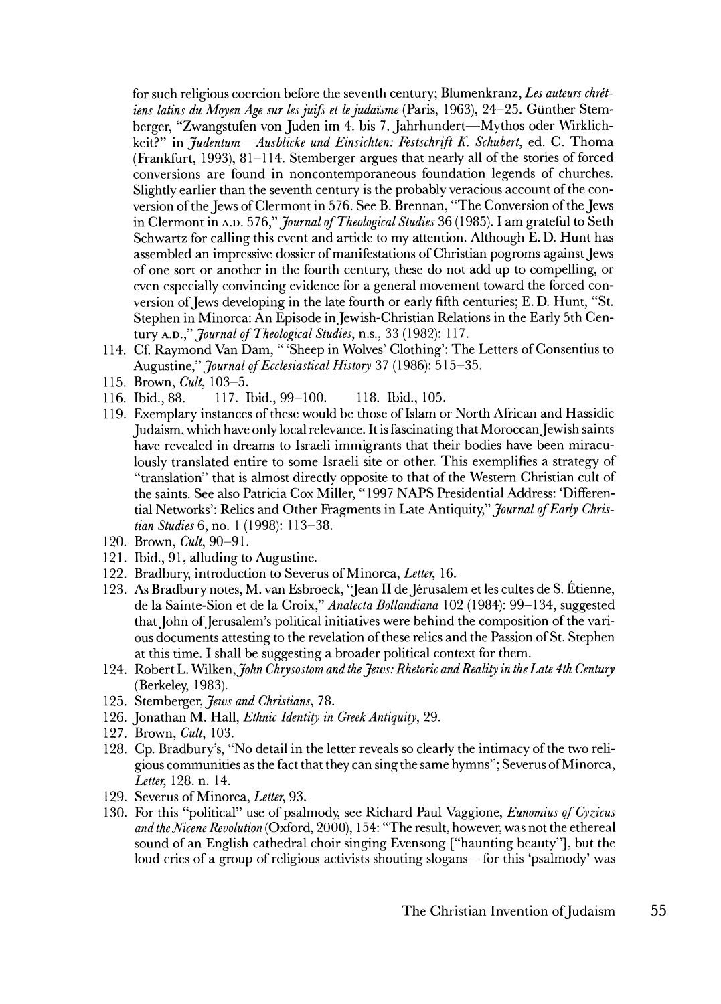**for such religious coercion before the seventh century; Blumenkranz, Les auteurs chret**iens latins du Moyen Age sur les juifs et le judaisme (Paris, 1963), 24-25. Günther Stemberger, "Zwangstufen von Juden im 4. bis 7. Jahrhundert-Mythos oder Wirklich**keit?" in Judentum-Ausblicke und Einsichten: Festschrift K. Schubert, ed. C. Thoma (Frankfurt, 1993), 81-114. Stemberger argues that nearly all of the stories of forced conversions are found in noncontemporaneous foundation legends of churches. Slightly earlier than the seventh century is the probably veracious account of the conversion of the Jews of Clermont in 576. See B. Brennan, "The Conversion of the Jews in Clermont in A.D. 576," Journal of Theological Studies 36 (1985). I am grateful to Seth Schwartz for calling this event and article to my attention. Although E. D. Hunt has assembled an impressive dossier of manifestations of Christian pogroms against Jews of one sort or another in the fourth century, these do not add up to compelling, or even especially convincing evidence for a general movement toward the forced con**version of Jews developing in the late fourth or early fifth centuries; E. D. Hunt, "St. **Stephen in Minorca: An Episode in Jewish-Christian Relations in the Early 5th Century A.D.," Journal of Theological Studies, n.s., 33 (1982): 117.** 

- **114. Cf. Raymond Van Dam, "'Sheep in Wolves' Clothing': The Letters of Consentius to Augustine," Journal of Ecclesiastical History 37 (1986): 515-35.**
- **115. Brown, Cult, 103-5.**
- **116. Ibid., 88. 117. Ibid., 99-100. 118. Ibid., 105.**
- **119. Exemplary instances of these would be those of Islam or North African and Hassidic Judaism, which have only local relevance. It is fascinating that MoroccanJewish saints have revealed in dreams to Israeli immigrants that their bodies have been miraculously translated entire to some Israeli site or other. This exemplifies a strategy of "translation" that is almost directly opposite to that of the Western Christian cult of the saints. See also Patricia Cox Miller, "1997 NAPS Presidential Address: 'Differen**tial Networks': Relics and Other Fragments in Late Antiquity," Journal of Early Chris**tian Studies 6, no. 1 (1998): 113-38.**
- **120. Brown, Cult, 90-91.**
- **121. Ibid., 91, alluding to Augustine.**
- **122. Bradbury, introduction to Severus of Minorca, Letter, 16.**
- 123. As Bradbury notes, M. van Esbroeck, "Jean II de Jérusalem et les cultes de S. Étienne, **de la Sainte-Sion et de la Croix," Analecta Bollandiana 102 (1984): 99-134, suggested**  that John of Jerusalem's political initiatives were behind the composition of the vari**ous documents attesting to the revelation of these relics and the Passion of St. Stephen at this time. I shall be suggesting a broader political context for them.**
- **124. Robert L. Wilken,John Chrysostom and the Jews: Rhetoric and Reality in the Late 4th Century (Berkeley, 1983).**
- **125. Stemberger, Jews and Christians, 78.**
- **126. Jonathan M. Hall, Ethnic Identity in Greek Antiquity, 29.**
- **127. Brown, Cult, 103.**
- **128. Cp. Bradbury's, "No detail in the letter reveals so clearly the intimacy of the two religious communities as the fact that they can sing the same hymns"; Severus of Minorca, Letter, 128. n. 14.**
- **129. Severus of Minorca, Letter, 93.**
- **130. For this "political" use of psalmody, see Richard Paul Vaggione, Eunomius of Cyzicus and the Nicene Revolution (Oxford, 2000), 154: "The result, however, was not the ethereal sound of an English cathedral choir singing Evensong ["haunting beauty"], but the**  loud cries of a group of religious activists shouting slogans—for this 'psalmody' was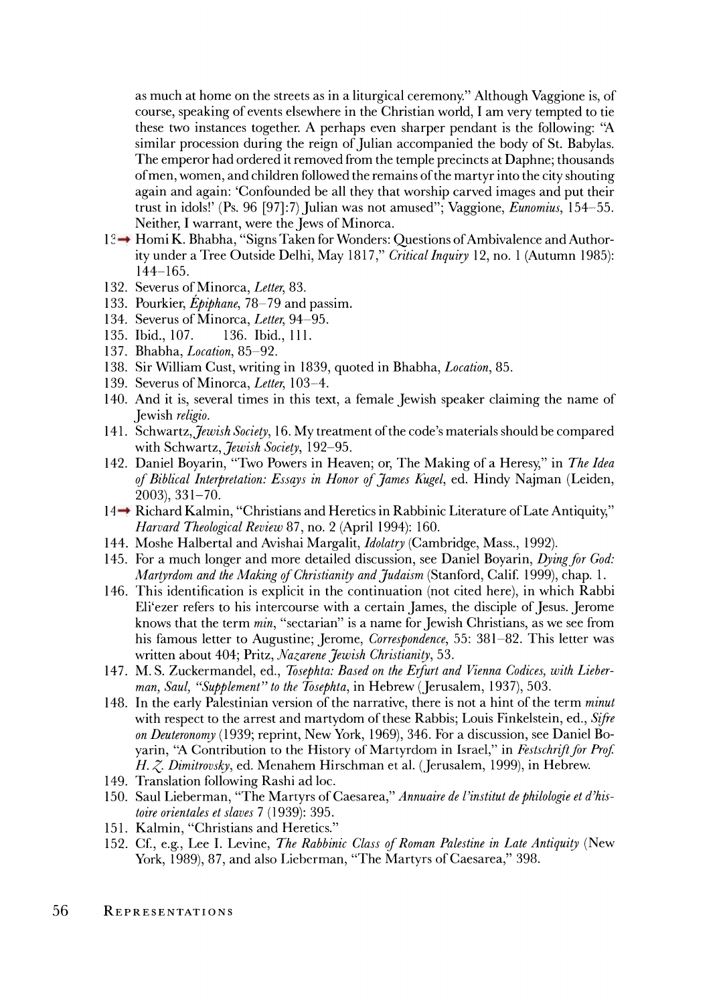**as much at home on the streets as in a liturgical ceremony." Although Vaggione is, of course, speaking of events elsewhere in the Christian world, I am very tempted to tie these two instances together. A perhaps even sharper pendant is the following: "A similar procession during the reign of Julian accompanied the body of St. Babylas. The emperor had ordered it removed from the temple precincts at Daphne; thousands of men, women, and children followed the remains of the martyr into the city shouting again and again: 'Confounded be all they that worship carved images and put their trust in idols!' (Ps. 96 [97]:7) Julian was not amused"; Vaggione, Eunomius, 154-55. Neither, I warrant, were the Jews of Minorca.** 

- **13→ Homi K. Bhabha, "Signs Taken for Wonders: Questions of Ambivalence and Authority under a Tree Outside Delhi, May 1817," Critical Inquiry 12, no. 1 (Autumn 1985): 144-165.**
- **132. Severus of Minorca, Letter, 83.**
- **133. Pourkier, Epiphane, 78-79 and passim.**
- 134. Severus of Minorca, *Letter*, 94–95.<br>135. Ibid., 107. 136. Ibid., 111.
- 136. Ibid., 111.
- **137. Bhabha, Location, 85-92.**
- **138. Sir William Cust, writing in 1839, quoted in Bhabha, Location, 85.**
- **139. Severus of Minorca, Letter, 103-4.**
- **140. And it is, several times in this text, a female Jewish speaker claiming the name of Jewish religio.**
- **141. Schwartz, Jewish Society, 16. My treatment of the code's materials should be compared with Schwartz, Jewish Society, 192-95.**
- **142. Daniel Boyarin, "Two Powers in Heaven; or, The Making of a Heresy," in The Idea of Biblical Interpretation: Essays in Honor of James Kugel, ed. Hindy Najman (Leiden, 2003), 331-70.**
- **143. Richard Kalmin, "Christians and Heretics in Rabbinic Literature of Late Antiquity," Harvard Theological Review 87, no. 2 (April 1994): 160.**
- **144. Moshe Halbertal and Avishai Margalit, Idolatry (Cambridge, Mass., 1992).**
- 145. For a much longer and more detailed discussion, see Daniel Boyarin, *Dying for God*: **Martyrdom and the Making of Christianity and Judaism (Stanford, Calif. 1999), chap. 1.**
- **146. This identification is explicit in the continuation (not cited here), in which Rabbi Eli'ezer refers to his intercourse with a certain James, the disciple of Jesus. Jerome knows that the term min, "sectarian" is a name for Jewish Christians, as we see from his famous letter to Augustine; Jerome, Correspondence, 55: 381-82. This letter was written about 404; Pritz, Nazarene Jewish Christianity, 53.**
- **147. M. S. Zuckermandel, ed., Tosephta: Based on the Erfurt and Vienna Codices, with Lieberman, Saul, "Supplement" to the Tosephta, in Hebrew (Jerusalem, 1937), 503.**
- **148. In the early Palestinian version of the narrative, there is not a hint of the term minut with respect to the arrest and martydom of these Rabbis; Louis Finkelstein, ed., Sifre on Deuteronomy (1939; reprint, New York, 1969), 346. For a discussion, see Daniel Bo**yarin, "A Contribution to the History of Martyrdom in Israel," in Festschrift for Prof. **H. Z. Dimitrovsky, ed. Menahem Hirschman et al. (Jerusalem, 1999), in Hebrew.**
- **149. Translation following Rashi ad loc.**
- **150. Saul Lieberman, "The Martyrs of Caesarea," Annuaire de l'institut de philologie et d'histoire orientales et slaves 7 (1939): 395.**
- **151. Kalmin, "Christians and Heretics."**
- **152. Cf., e.g., Lee I. Levine, The Rabbinic Class of Roman Palestine in Late Antiquity (New York, 1989), 87, and also Lieberman, "The Martyrs of Caesarea," 398.**
- **56 REPRESENTATIONS**